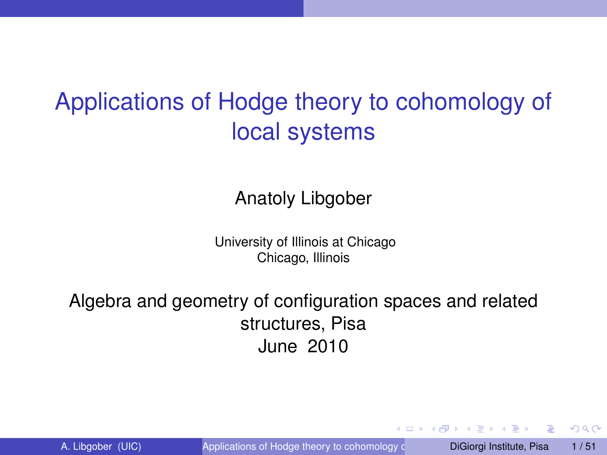# Applications of Hodge theory to cohomology of local systems

Anatoly Libgober

University of Illinois at Chicago Chicago, Illinois

Algebra and geometry of configuration spaces and related structures, Pisa June 2010

<span id="page-0-0"></span> $QQ$ 

イロト イ押ト イヨト イヨト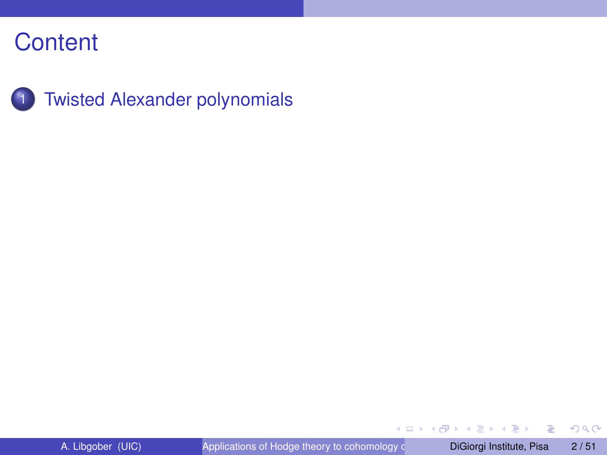

重

 $299$ 

 $(1, 1)$   $(1, 1)$   $(1, 1)$   $(1, 1)$   $(1, 1)$   $(1, 1)$   $(1, 1)$   $(1, 1)$   $(1, 1)$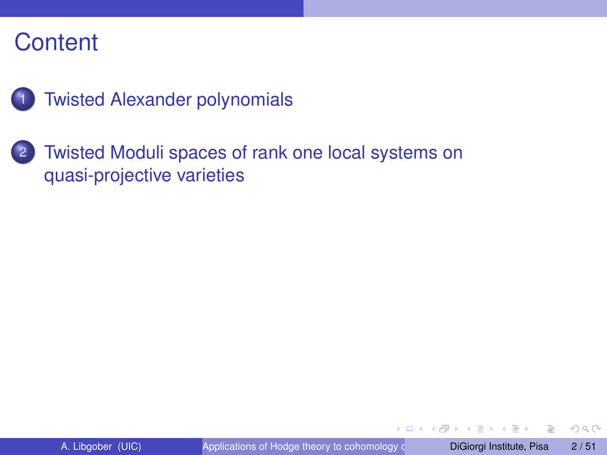

**[Twisted Alexander polynomials](#page-6-0)** 

2 [Twisted Moduli spaces of rank one local systems on](#page-28-0) [quasi-projective varieties](#page-28-0)

4 0 8 1  $\leftarrow$   $\leftarrow$   $\leftarrow$  $\mathcal{A}$ The South The  $QQ$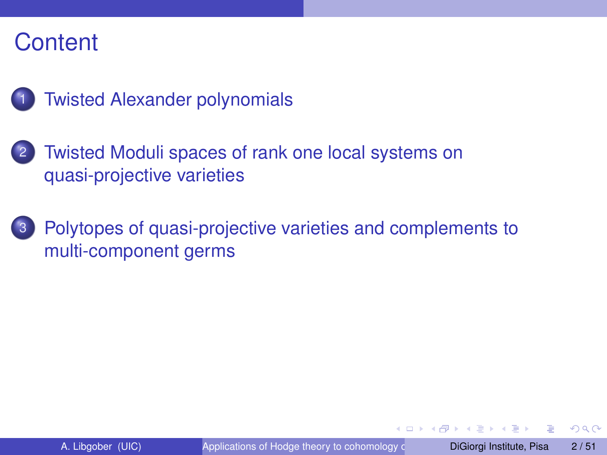

- [Twisted Moduli spaces of rank one local systems on](#page-28-0) [quasi-projective varieties](#page-28-0)
- [Polytopes of quasi-projective varieties and complements to](#page-47-0) [multi-component germs](#page-47-0)

 $\Omega$ 

The South The

4 ロ ト ィ *同* ト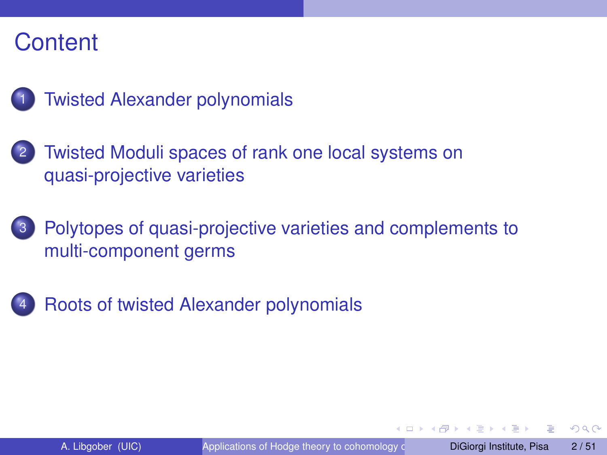

- [Twisted Moduli spaces of rank one local systems on](#page-28-0) [quasi-projective varieties](#page-28-0)
- [Polytopes of quasi-projective varieties and complements to](#page-47-0) [multi-component germs](#page-47-0)



 $\Omega$ 

The South The

 $\leftarrow$   $\Box$   $\rightarrow$   $\leftarrow$   $\Box$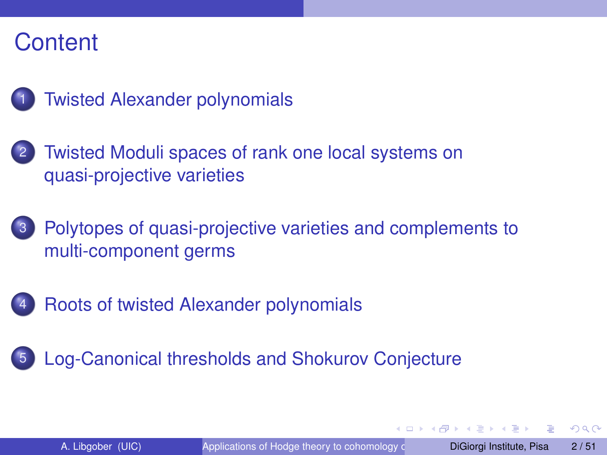

- [Twisted Moduli spaces of rank one local systems on](#page-28-0) [quasi-projective varieties](#page-28-0)
- [Polytopes of quasi-projective varieties and complements to](#page-47-0) [multi-component germs](#page-47-0)
- 4 [Roots of twisted Alexander polynomials](#page-64-0)
- [Log-Canonical thresholds and Shokurov Conjecture](#page-65-0)

 $\Omega$ 

**ARACE** 

 $1.71 \times 1.71 \times$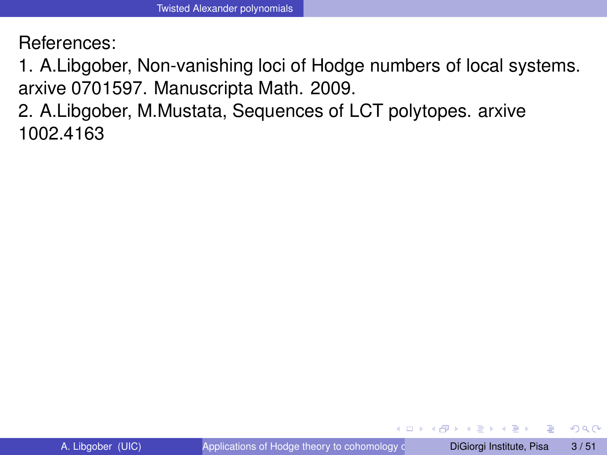References:

1. A.Libgober, Non-vanishing loci of Hodge numbers of local systems. arxive 0701597. Manuscripta Math. 2009.

2. A.Libgober, M.Mustata, Sequences of LCT polytopes. arxive 1002.4163

<span id="page-6-0"></span> $\Omega$ 

イロト イ押ト イヨト イヨト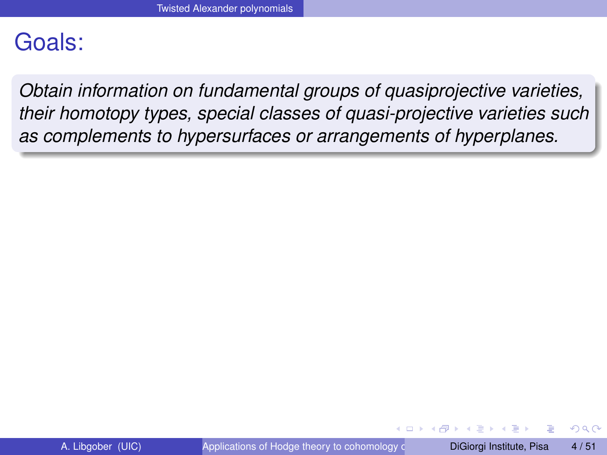## Goals:

*Obtain information on fundamental groups of quasiprojective varieties, their homotopy types, special classes of quasi-projective varieties such as complements to hypersurfaces or arrangements of hyperplanes.*

 $\Omega$ 

イロト イ押ト イヨト イヨ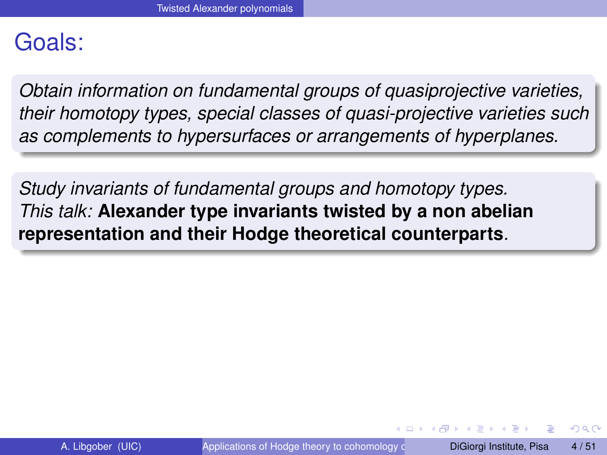## Goals:

*Obtain information on fundamental groups of quasiprojective varieties, their homotopy types, special classes of quasi-projective varieties such as complements to hypersurfaces or arrangements of hyperplanes.*

*Study invariants of fundamental groups and homotopy types. This talk:* **Alexander type invariants twisted by a non abelian representation and their Hodge theoretical counterparts***.*

 $\Omega$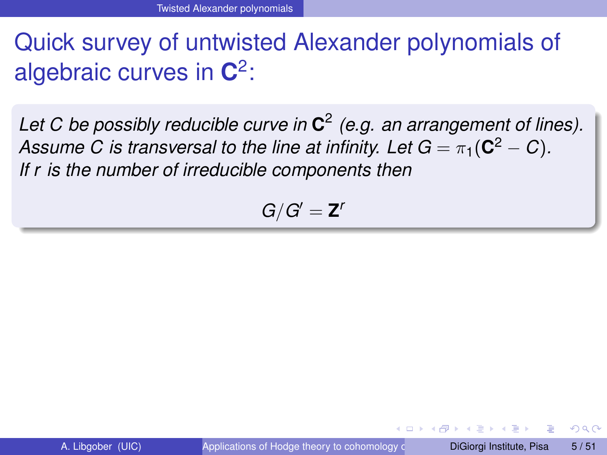# Quick survey of untwisted Alexander polynomials of algebraic curves in **C** 2 :

*Let C be possibly reducible curve in* **C** 2 *(e.g. an arrangement of lines).*  $A$ ssume  $C$  is transversal to the line at infinity. Let  $G = \pi_1({\bf C}^2 - C)$ . *If r is the number of irreducible components then*

$$
G/G'=\mathbf{Z}^r
$$

 $\Omega$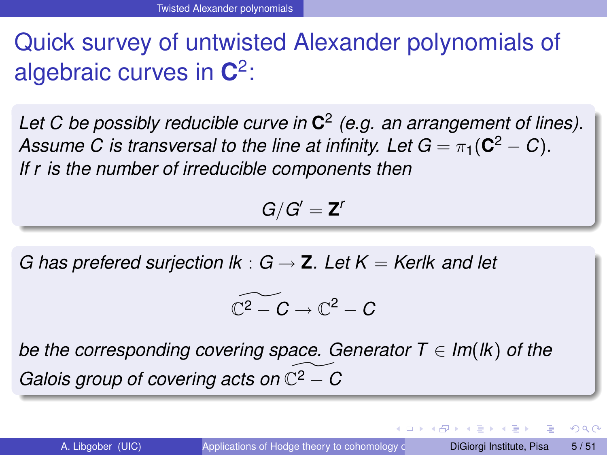# Quick survey of untwisted Alexander polynomials of algebraic curves in **C** 2 :

*Let C be possibly reducible curve in* **C** 2 *(e.g. an arrangement of lines).*  $A$ ssume  $C$  is transversal to the line at infinity. Let  $G = \pi_1({\bf C}^2 - C)$ . *If r is the number of irreducible components then*

$$
G/G'=\mathbf{Z}^r
$$

*G* has prefered surjection  $lk : G \rightarrow Z$ *. Let*  $K = K$ erlk and let

$$
\widetilde{\mathbb{C}^2-C}\to \mathbb{C}^2-C
$$

*be the corresponding covering space. Generator*  $T \in Im(K)$  *of the Galois group of covering acts on*  $\mathbb{C}^2$  − *C* 

 $\Omega$ 

イロト イ押ト イヨト イヨト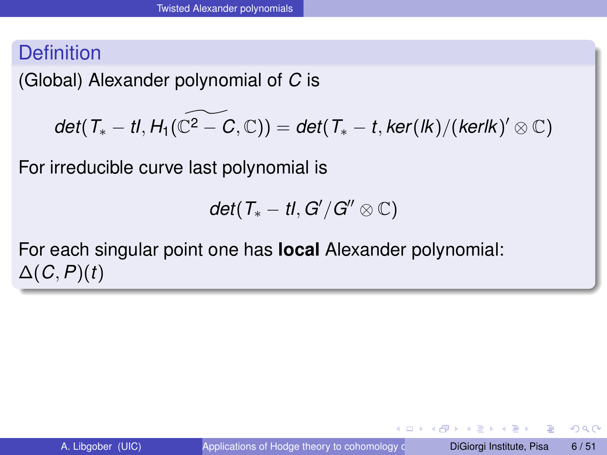(Global) Alexander polynomial of *C* is

$$
\textit{det}(\textit{T}_{*}-t\textit{l},\textit{H}_{1}(\widetilde{\mathbb{C}^{2}-C},\mathbb{C}))=\textit{det}(\textit{T}_{*}-t,\textit{ker}(\textit{lk})/(\textit{kerlk})'\otimes\mathbb{C})
$$

For irreducible curve last polynomial is

$$
\textit{det}(T_*-tI,G'/G''\otimes\mathbb{C})
$$

For each singular point one has **local** Alexander polynomial: ∆(*C*,*P*)(*t*)

E

 $\Omega$ 

イロト イ押 トイラト イラト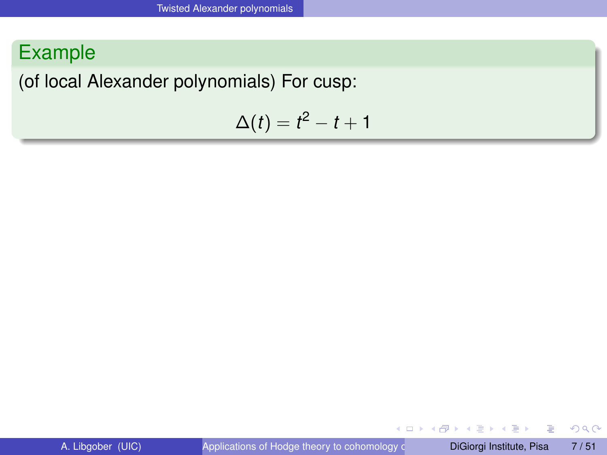### Example

(of local Alexander polynomials) For cusp:

$$
\Delta(t)=t^2-t+1
$$

E

 $299$ 

イロト イ押ト イヨト イヨ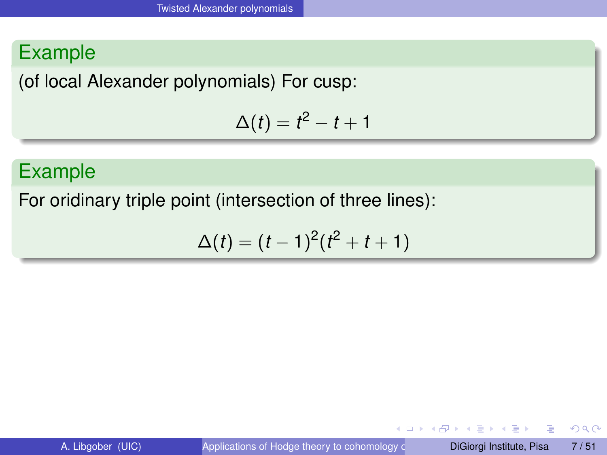## Example

(of local Alexander polynomials) For cusp:

$$
\Delta(t)=t^2-t+1
$$

## Example

For oridinary triple point (intersection of three lines):

$$
\Delta(t) = (t-1)^2(t^2+t+1)
$$

4 0 8 1

Þ

 $QQQ$ 

 $A \cap \overline{B} \rightarrow A \Rightarrow A \Rightarrow A \Rightarrow B$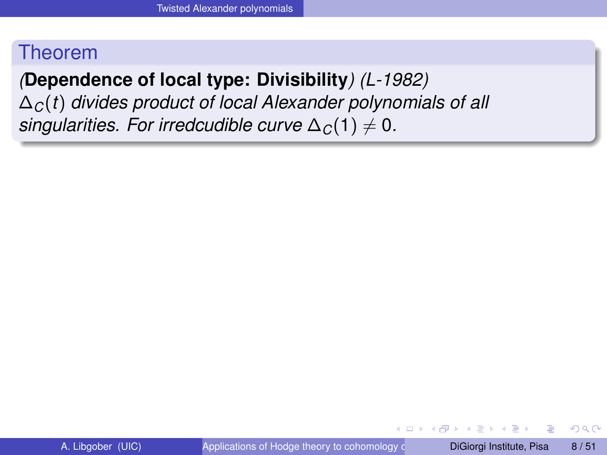## *(***Dependence of local type: Divisibility***) (L-1982)*

∆*C*(*t*) *divides product of local Alexander polynomials of all singularities. For irredcudible curve*  $\Delta_C(1) \neq 0$ .

 $\Omega$ 

イロト イ押ト イヨト イヨト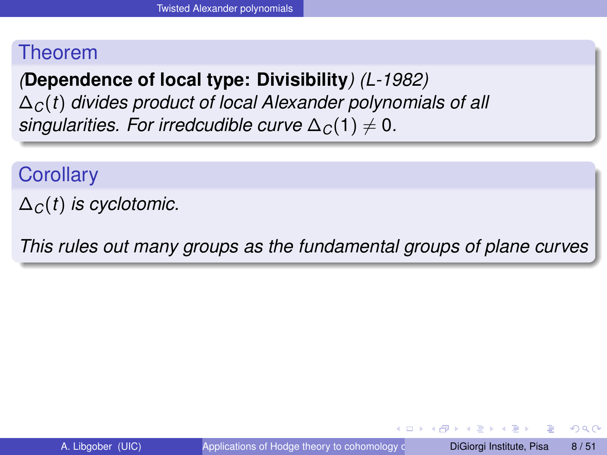*(***Dependence of local type: Divisibility***) (L-1982)* ∆*C*(*t*) *divides product of local Alexander polynomials of all singularities. For irredcudible curve*  $\Delta_C(1) \neq 0$ .

**Corollary** 

∆*C*(*t*) *is cyclotomic.*

*This rules out many groups as the fundamental groups of plane curves*

 $\Omega$ 

イロト イ押 トイラト イラト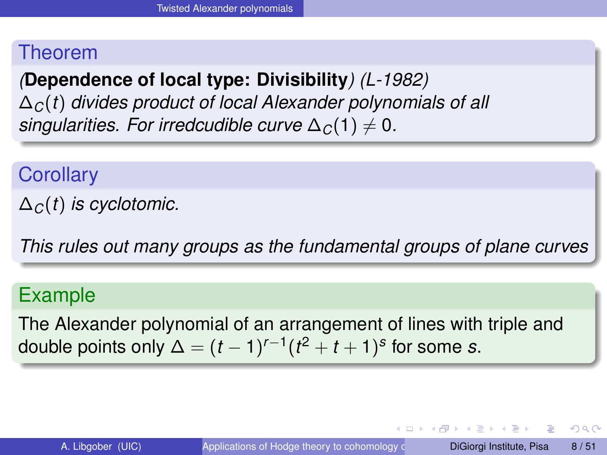*(***Dependence of local type: Divisibility***) (L-1982)* ∆*C*(*t*) *divides product of local Alexander polynomials of all singularities. For irredcudible curve*  $\Delta_C(1) \neq 0$ .

**Corollary** 

∆*C*(*t*) *is cyclotomic.*

*This rules out many groups as the fundamental groups of plane curves*

#### Example

The Alexander polynomial of an arrangement of lines with triple and double points only  $\Delta = (t-1)^{r-1}(t^2+t+1)^s$  for some *s*.

**E** 

 $\Omega$ 

 $(0,1)$   $(0,1)$   $(0,1)$   $(1,1)$   $(1,1)$   $(1,1)$   $(1,1)$   $(1,1)$   $(1,1)$   $(1,1)$   $(1,1)$   $(1,1)$   $(1,1)$   $(1,1)$   $(1,1)$   $(1,1)$   $(1,1)$   $(1,1)$   $(1,1)$   $(1,1)$   $(1,1)$   $(1,1)$   $(1,1)$   $(1,1)$   $(1,1)$   $(1,1)$   $(1,1)$   $(1,1$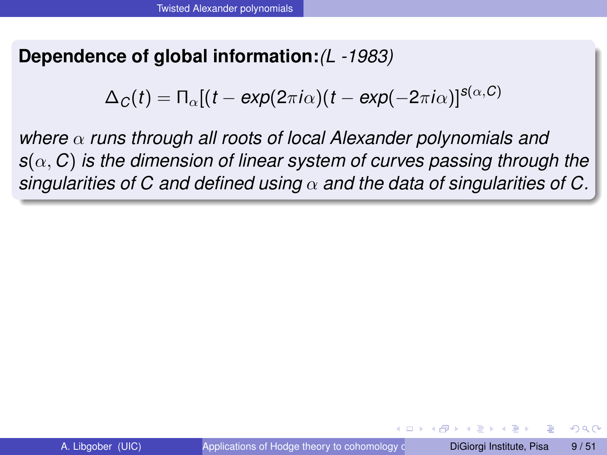#### **Dependence of global information:***(L -1983)*

$$
\Delta_C(t) = \Pi_{\alpha}[(t - \exp(2\pi i \alpha)(t - \exp(-2\pi i \alpha))]^{s(\alpha, C)}
$$

*where* α *runs through all roots of local Alexander polynomials and s*(α, *C*) *is the dimension of linear system of curves passing through the singularities of C and defined using* α *and the data of singularities of C.*

 $\Omega$ 

イロト イ押ト イヨト イヨト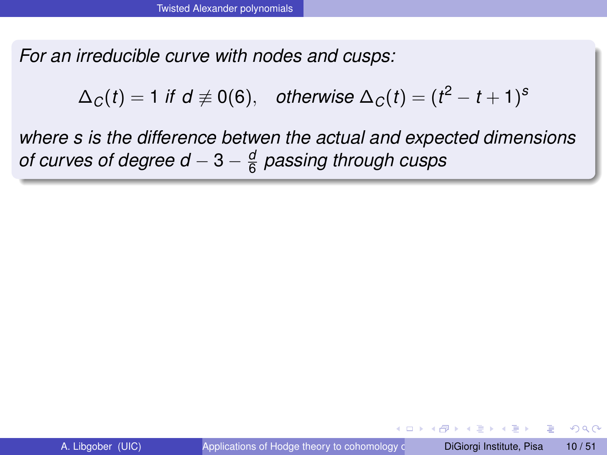*For an irreducible curve with nodes and cusps:*

 $\Delta_{\textit{C}}(t) = 1$  *if d*  $\not\equiv 0$ (6), *otherwise*  $\Delta_{\textit{C}}(t) = (t^2 - t + 1)^{\textit{s}}$ 

*where s is the difference betwen the actual and expected dimensions of curves of degree d* − 3 −  $\frac{a}{6}$ 6 *passing through cusps*

 $\Omega$ 

イロト イ押ト イヨト イヨト ニヨ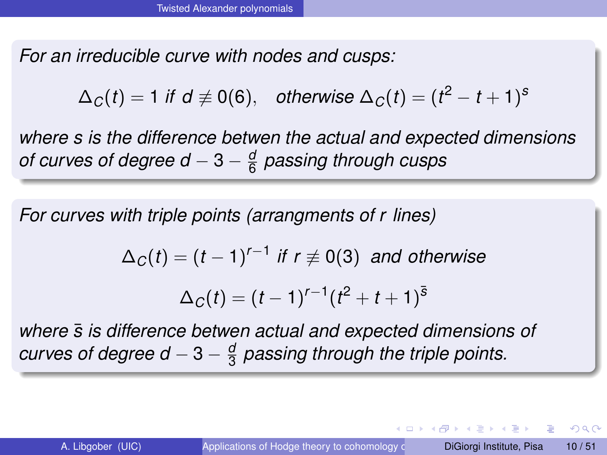*For an irreducible curve with nodes and cusps:*

 $\Delta_{\textit{C}}(t) = 1$  *if d*  $\not\equiv 0$ (6), *otherwise*  $\Delta_{\textit{C}}(t) = (t^2 - t + 1)^{\textit{s}}$ 

*where s is the difference betwen the actual and expected dimensions of curves of degree d* − 3 −  $\frac{a}{6}$ 6 *passing through cusps*

*For curves with triple points (arrangments of r lines)*

$$
\Delta_C(t) = (t-1)^{r-1} \text{ if } r \neq 0 \text{ (3) and otherwise}
$$

$$
\Delta_C(t) = (t-1)^{r-1}(t^2+t+1)^{\bar{s}}
$$

*where s is difference betwen actual and expected dimensions of* ¯ *curves of degree d*  $-3-\frac{a}{3}$ 3 *passing through the triple points.*

 $\Omega$ 

 $(0.125 \times 10^{-14} \text{ m}) \times 10^{-14} \text{ m}$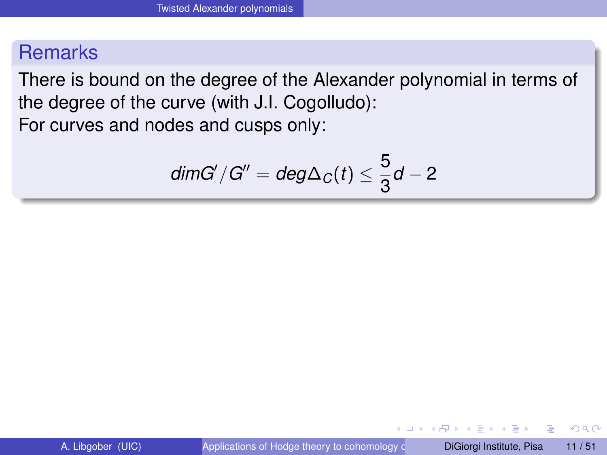There is bound on the degree of the Alexander polynomial in terms of the degree of the curve (with J.I. Cogolludo): For curves and nodes and cusps only:

$$
dim G'/G'' = deg \Delta_C(t) \leq \frac{5}{3}d - 2
$$

**The Second** 

 $\Omega$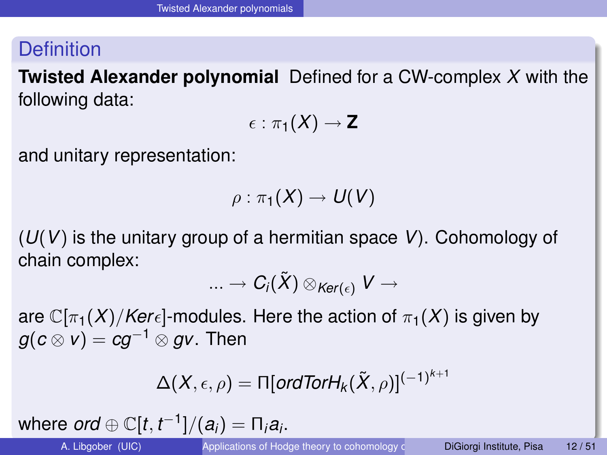**Twisted Alexander polynomial** Defined for a CW-complex *X* with the following data:

$$
\epsilon:\pi_1(X)\to {\mathbf Z}
$$

and unitary representation:

$$
\rho:\pi_1(X)\to U(V)
$$

(*U*(*V*) is the unitary group of a hermitian space *V*). Cohomology of chain complex:

$$
...\rightarrow C_i(\tilde{X})\otimes_{Ker(\epsilon)}V\rightarrow
$$

are  $\mathbb{C}[\pi_1(X)/Ker_{\epsilon}]$ -modules. Here the action of  $\pi_1(X)$  is given by *g*( $c \otimes v$ ) =  $ca^{-1} \otimes av$ . Then

$$
\Delta(X,\epsilon,\rho)=\Pi[\textit{ordTorH}_k(\tilde{X},\rho)]^{(-1)^{k+1}}
$$

where  $ord \oplus \mathbb{C}[t, t^{-1}]/(a_i) = \Pi_i a_i$ .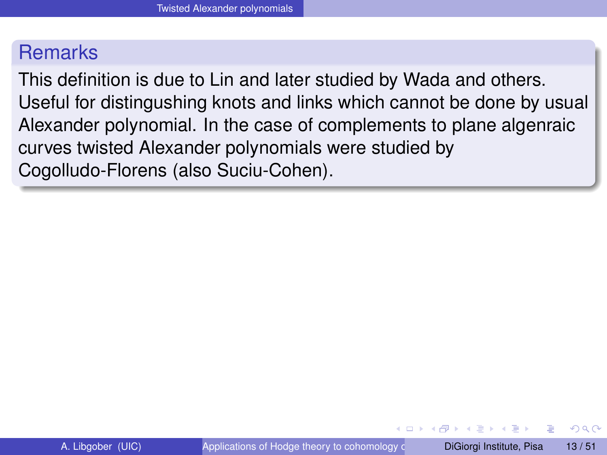This definition is due to Lin and later studied by Wada and others. Useful for distingushing knots and links which cannot be done by usual Alexander polynomial. In the case of complements to plane algenraic curves twisted Alexander polynomials were studied by Cogolludo-Florens (also Suciu-Cohen).

 $\Omega$ 

化重新分量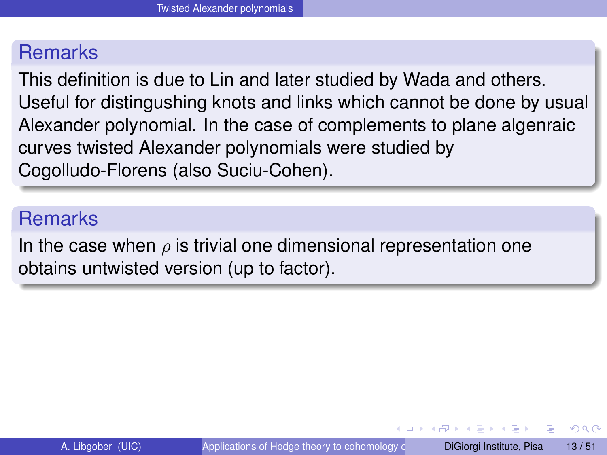This definition is due to Lin and later studied by Wada and others. Useful for distingushing knots and links which cannot be done by usual Alexander polynomial. In the case of complements to plane algenraic curves twisted Alexander polynomials were studied by Cogolludo-Florens (also Suciu-Cohen).

#### **Remarks**

In the case when  $\rho$  is trivial one dimensional representation one obtains untwisted version (up to factor).

 $\Omega$ 

 $\mathcal{A} \oplus \mathcal{B} \rightarrow \mathcal{A} \oplus \mathcal{B}$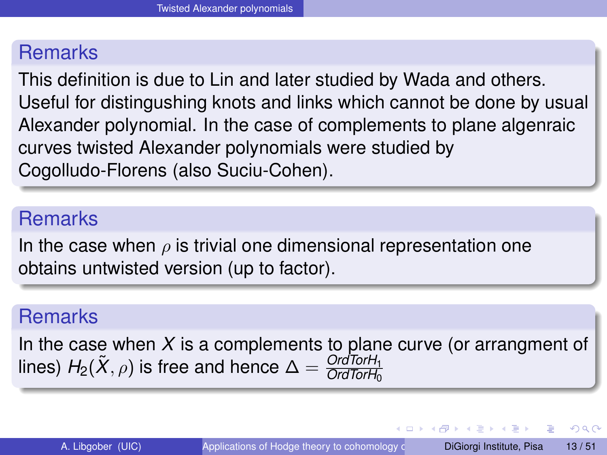This definition is due to Lin and later studied by Wada and others. Useful for distingushing knots and links which cannot be done by usual Alexander polynomial. In the case of complements to plane algenraic curves twisted Alexander polynomials were studied by Cogolludo-Florens (also Suciu-Cohen).

#### **Remarks**

In the case when  $\rho$  is trivial one dimensional representation one obtains untwisted version (up to factor).

#### **Remarks**

In the case when *X* is a complements to plane curve (or arrangment of lines)  $H_2(\widetilde{X}, \rho)$  is free and hence  $\Delta = \frac{Ord\textrm{Tor}H_1}{Ord\textrm{Tor}H_0}$ 

 $\Omega$ 

 $(0,1)$   $(0,1)$   $(0,1)$   $(1,1)$   $(1,1)$   $(1,1)$   $(1,1)$   $(1,1)$   $(1,1)$   $(1,1)$   $(1,1)$   $(1,1)$   $(1,1)$   $(1,1)$   $(1,1)$   $(1,1)$   $(1,1)$   $(1,1)$   $(1,1)$   $(1,1)$   $(1,1)$   $(1,1)$   $(1,1)$   $(1,1)$   $(1,1)$   $(1,1)$   $(1,1)$   $(1,1$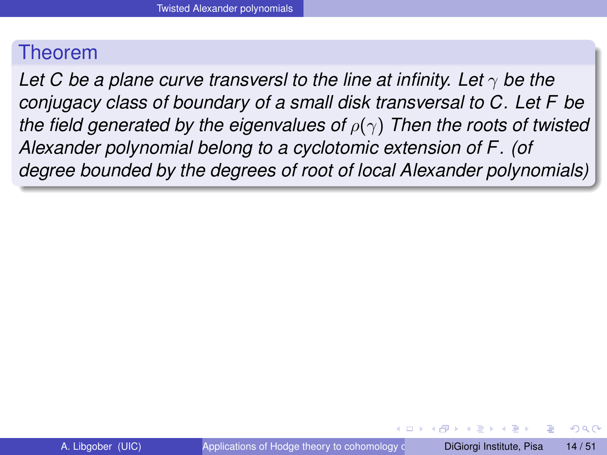*Let C be a plane curve transversl to the line at infinity. Let*  $\gamma$  *be the conjugacy class of boundary of a small disk transversal to C. Let F be the field generated by the eigenvalues of*  $ρ(γ)$  *Then the roots of twisted Alexander polynomial belong to a cyclotomic extension of F. (of degree bounded by the degrees of root of local Alexander polynomials)*

 $\Omega$ 

医单位 医单

4 **O E 4 AP E**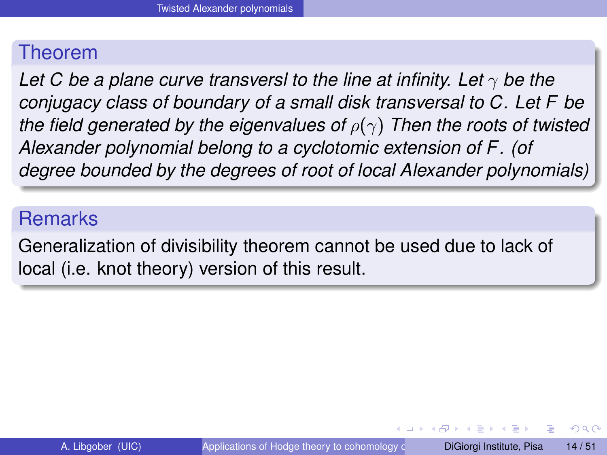*Let C be a plane curve transversl to the line at infinity. Let*  $\gamma$  *be the conjugacy class of boundary of a small disk transversal to C. Let F be the field generated by the eigenvalues of*  $ρ(γ)$  *Then the roots of twisted Alexander polynomial belong to a cyclotomic extension of F. (of degree bounded by the degrees of root of local Alexander polynomials)*

#### **Remarks**

Generalization of divisibility theorem cannot be used due to lack of local (i.e. knot theory) version of this result.

 $\Omega$ 

イロト イ押ト イヨト イヨト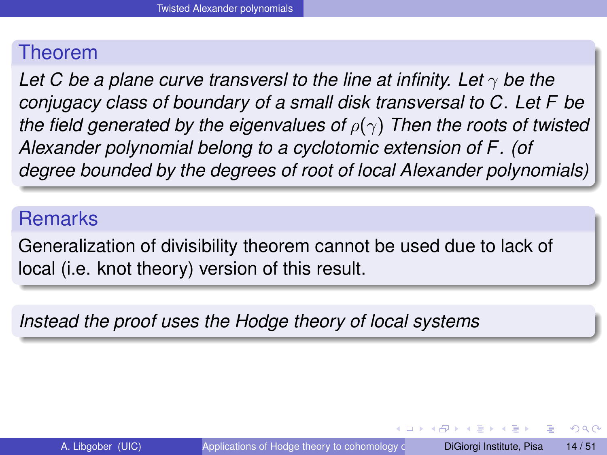*Let C be a plane curve transversl to the line at infinity. Let*  $\gamma$  *be the conjugacy class of boundary of a small disk transversal to C. Let F be the field generated by the eigenvalues of*  $ρ(γ)$  *Then the roots of twisted Alexander polynomial belong to a cyclotomic extension of F. (of degree bounded by the degrees of root of local Alexander polynomials)*

#### **Remarks**

Generalization of divisibility theorem cannot be used due to lack of local (i.e. knot theory) version of this result.

*Instead the proof uses the Hodge theory of local systems*

 $\Omega$ 

イロト イ押ト イヨト イヨト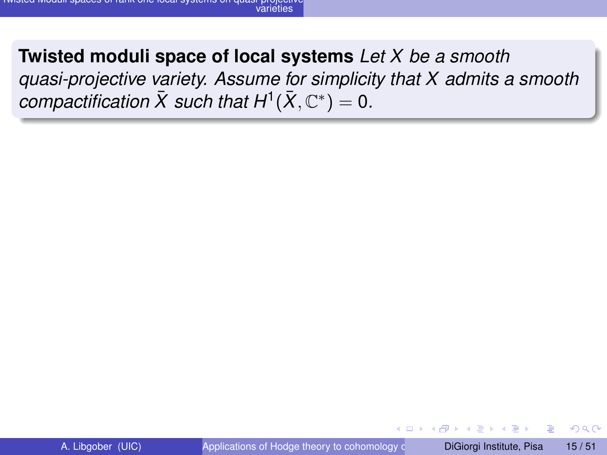## **Twisted moduli space of local systems** *Let X be a smooth quasi-projective variety. Assume for simplicity that X admits a smooth*  $\bm{c}$ *compactification*  $\bar{X}$  such that  $H^1(\bar{X}, \mathbb{C}^*) = 0$ .

<span id="page-28-0"></span> $\Omega$ 

化重新分量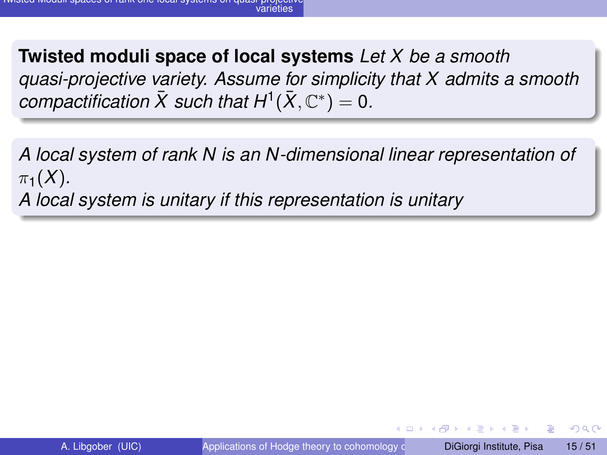**Twisted moduli space of local systems** *Let X be a smooth quasi-projective variety. Assume for simplicity that X admits a smooth*  $\bm{c}$ *compactification*  $\bar{X}$  such that  $H^1(\bar{X}, \mathbb{C}^*) = 0$ .

*A local system of rank N is an N-dimensional linear representation of*  $\pi_1(X)$ . *A local system is unitary if this representation is unitary*

 $\Omega$ 

The South The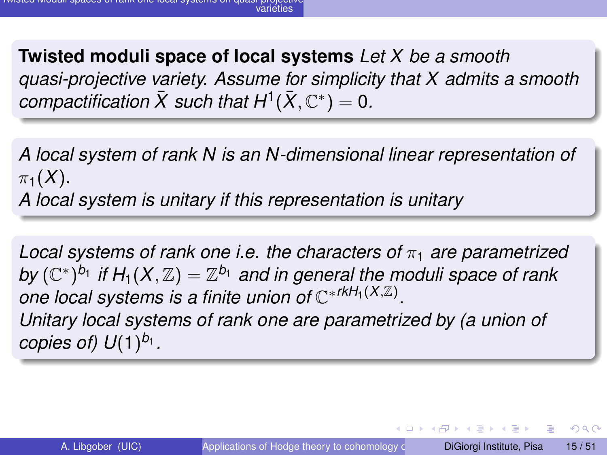**Twisted moduli space of local systems** *Let X be a smooth quasi-projective variety. Assume for simplicity that X admits a smooth*  $\bm{c}$ *compactification*  $\bar{X}$  such that  $H^1(\bar{X}, \mathbb{C}^*) = 0$ .

*A local system of rank N is an N-dimensional linear representation of*  $\pi_1(X)$ .

*A local system is unitary if this representation is unitary*

*Local systems of rank one i.e. the characters of* π<sup>1</sup> *are parametrized by*  $(\mathbb{C}^*)^{b_1}$  *if*  $H_1(X, \mathbb{Z}) = \mathbb{Z}^{b_1}$  *and in general the moduli space of rank one local systems is a finite union of* C ∗*rkH*1(*X*,Z) *. Unitary local systems of rank one are parametrized by (a union of copies of) U*(1) *b*1 *.*

 $\Omega$ 

 $(0,1)$   $(0,1)$   $(0,1)$   $(1,1)$   $(1,1)$   $(1,1)$   $(1,1)$   $(1,1)$   $(1,1)$   $(1,1)$   $(1,1)$   $(1,1)$   $(1,1)$   $(1,1)$   $(1,1)$   $(1,1)$   $(1,1)$   $(1,1)$   $(1,1)$   $(1,1)$   $(1,1)$   $(1,1)$   $(1,1)$   $(1,1)$   $(1,1)$   $(1,1)$   $(1,1)$   $(1,1$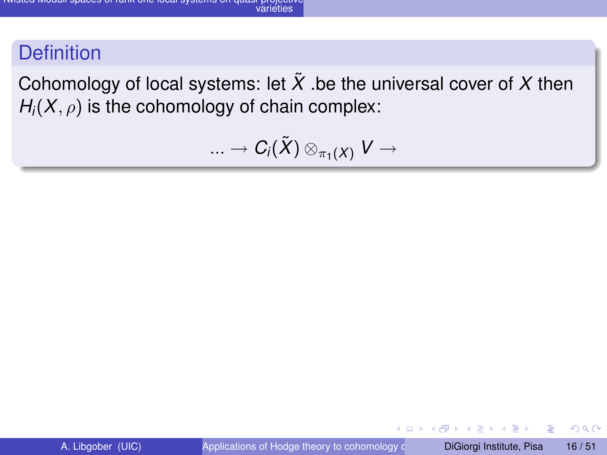Cohomology of local systems: let  $\tilde{X}$  be the universal cover of X then  $H_i(X, \rho)$  is the cohomology of chain complex:

$$
...\rightarrow C_i(\tilde{X})\otimes_{\pi_1(X)}V\rightarrow
$$

and in

 $QQQ$ 

 $\sqrt{m}$   $\rightarrow$   $\sqrt{m}$   $\rightarrow$   $\sqrt{m}$   $\rightarrow$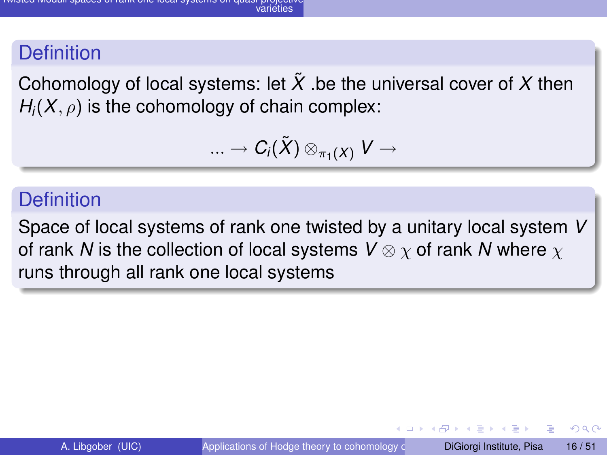Cohomology of local systems: let  $\tilde{X}$  be the universal cover of X then  $H_i(X, \rho)$  is the cohomology of chain complex:

$$
...\rightarrow C_i(\tilde{X})\otimes_{\pi_1(X)}V\rightarrow
$$

#### **Definition**

Space of local systems of rank one twisted by a unitary local system *V* of rank *N* is the collection of local systems *V* ⊗ χ of rank *N* where χ runs through all rank one local systems

 $\Omega$ 

イロト イ押 トイラト イラト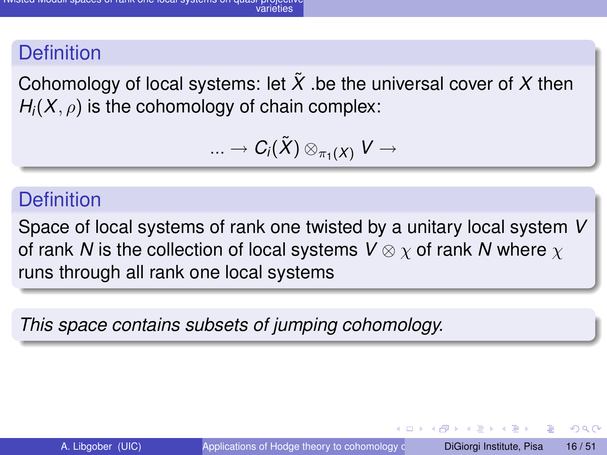Cohomology of local systems: let  $\tilde{X}$  be the universal cover of X then  $H_i(X, \rho)$  is the cohomology of chain complex:

$$
...\rightarrow C_i(\tilde{X})\otimes_{\pi_1(X)}V\rightarrow
$$

#### **Definition**

Space of local systems of rank one twisted by a unitary local system *V* of rank *N* is the collection of local systems *V* ⊗ χ of rank *N* where χ runs through all rank one local systems

*This space contains subsets of jumping cohomology.*

 $\Omega$ 

イロト イ押 トイラト イラト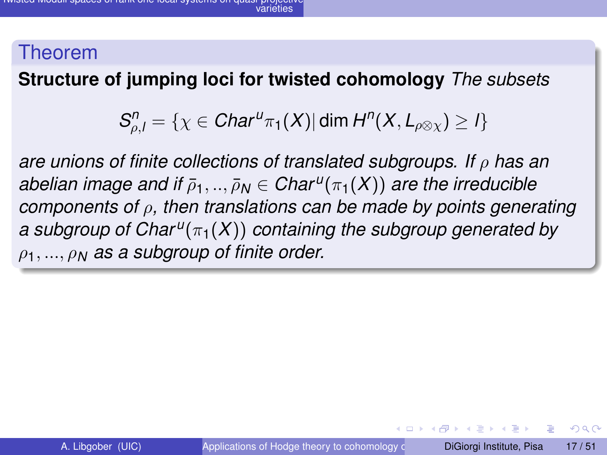#### **Structure of jumping loci for twisted cohomology** *The subsets*

$$
S_{\rho,I}^n = \{ \chi \in Char^{u} \pi_1(X) | \dim H^n(X,L_{\rho \otimes \chi}) \geq I \}
$$

*are unions of finite collections of translated subgroups. If* ρ *has an*  $a$ belian image and if  $\bar{\rho}_1,..,\bar{\rho}_N\in$  Char $^u(\pi_1(X))$  are the irreducible *components of* ρ*, then translations can be made by points generating a subgroup of Char <sup>u</sup>* (π1(*X*)) *containing the subgroup generated by* ρ1, ..., ρ*<sup>N</sup> as a subgroup of finite order.*

4 ロ ト ィ *同* ト

**A BAK BA**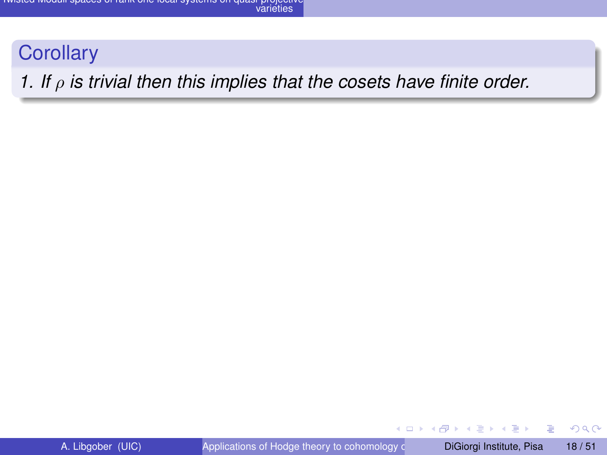#### **Corollary**

#### *1. If* ρ *is trivial then this implies that the cosets have finite order.*

÷.

 $299$ 

 $(0,1)$   $(0,1)$   $(0,1)$   $(1,1)$   $(1,1)$   $(1,1)$   $(1,1)$   $(1,1)$   $(1,1)$   $(1,1)$   $(1,1)$   $(1,1)$   $(1,1)$   $(1,1)$   $(1,1)$   $(1,1)$   $(1,1)$   $(1,1)$   $(1,1)$   $(1,1)$   $(1,1)$   $(1,1)$   $(1,1)$   $(1,1)$   $(1,1)$   $(1,1)$   $(1,1)$   $(1,1$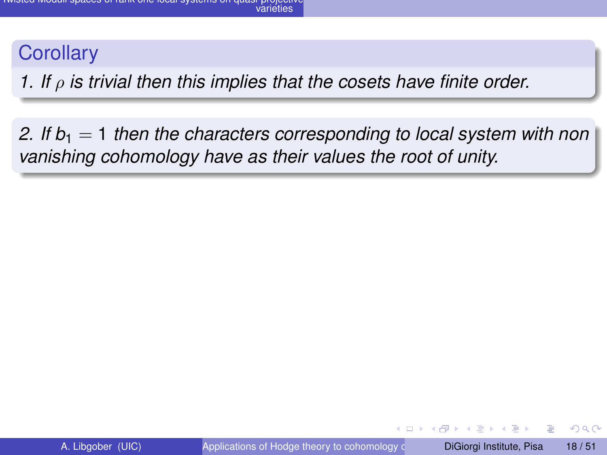#### **Corollary**

*1. If* ρ *is trivial then this implies that the cosets have finite order.*

2. If  $b_1 = 1$  *then the characters corresponding to local system with non vanishing cohomology have as their values the root of unity.*

 $\Omega$ 

(ロトイ部)→(理)→(理)→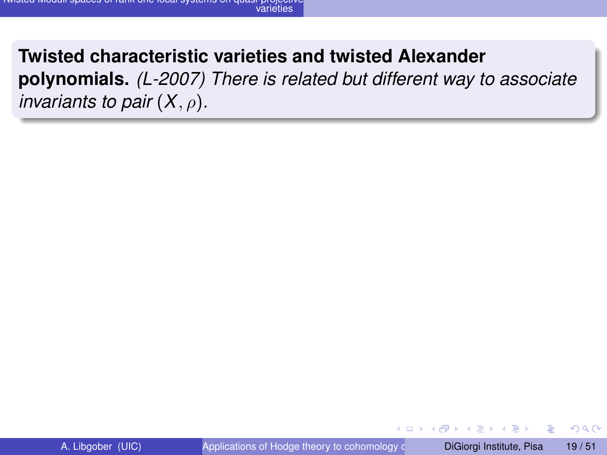#### **Twisted characteristic varieties and twisted Alexander**

**polynomials.** *(L-2007) There is related but different way to associate invariants to pair*  $(X, \rho)$ *.* 

4 17 18

 $\Omega$ 

 $\mathcal{A}$   $\overline{\mathcal{B}}$   $\rightarrow$   $\mathcal{A}$   $\overline{\mathcal{B}}$   $\rightarrow$   $\mathcal{A}$   $\overline{\mathcal{B}}$   $\rightarrow$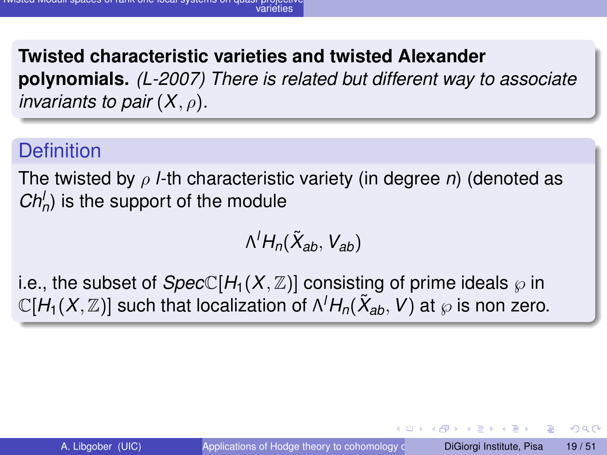**Twisted characteristic varieties and twisted Alexander polynomials.** *(L-2007) There is related but different way to associate invariants to pair*  $(X, \rho)$ *.* 

## **Definition**

The twisted by ρ *l*-th characteristic variety (in degree *n*) (denoted as  $Ch_n'$ ) is the support of the module

$$
\Lambda^l H_n(\tilde X_{ab},\,V_{ab})
$$

i.e., the subset of  $SpecC[H_1(X,\mathbb{Z})]$  consisting of prime ideals  $\wp$  in  $\mathbb{C}[H_1(X,\mathbb{Z})]$  such that localization of  $\Lambda^l H_n(\tilde{X}_{ab},V)$  at  $\wp$  is non zero.

 $\Omega$ 

イロト イ押 トイラト イラト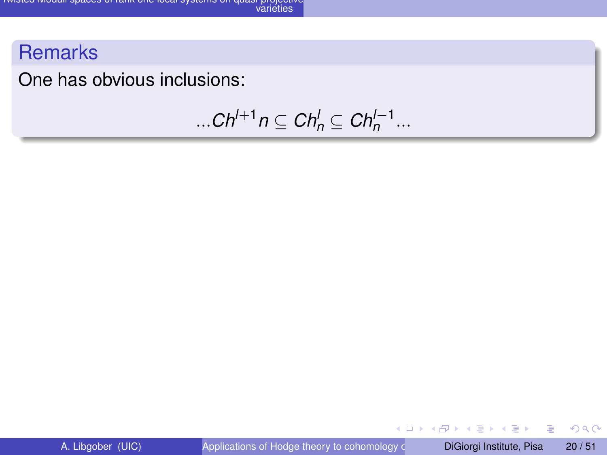## **Remarks**

One has obvious inclusions:

$$
\dots Ch^{l+1}n\subseteq Ch_n^l\subseteq Ch_n^{l-1}\dots
$$

重

 $299$ 

**K ロメ K 御 メ K 君 メ K 君 X**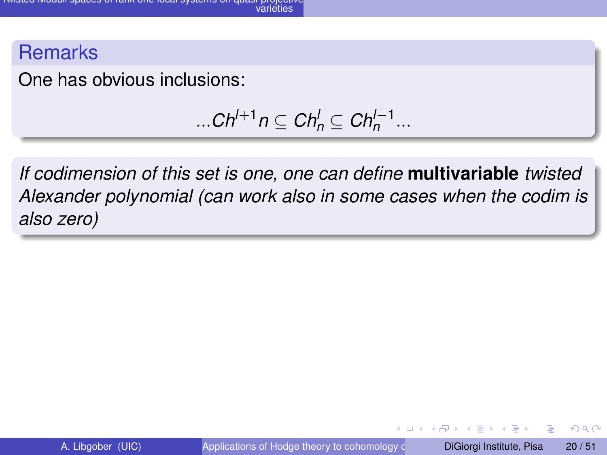#### **Remarks**

One has obvious inclusions:

$$
\dots Ch^{l+1}n\subseteq Ch_n^l\subseteq Ch_n^{l-1}\dots
$$

*If codimension of this set is one, one can define* **multivariable** *twisted Alexander polynomial (can work also in some cases when the codim is also zero)*

4 17 18

Þ

 $\Omega$ 

化重新分量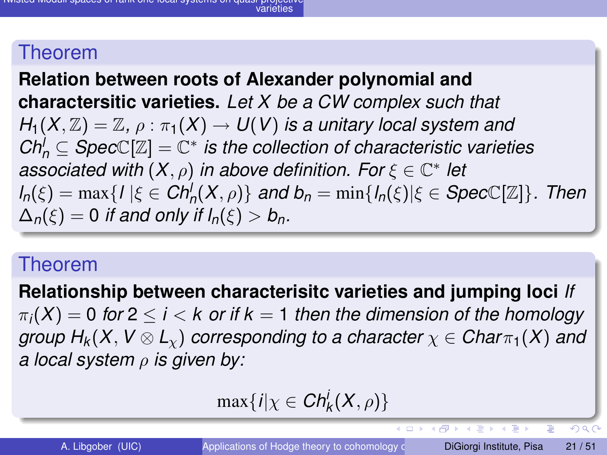**Relation between roots of Alexander polynomial and charactersitic varieties.** *Let X be a CW complex such that*  $H_1(X,\mathbb{Z})=\mathbb{Z}, \rho:\pi_1(X)\to U(V)$  *is a unitary local system and*  $Ch_n^{\prime} \subseteq Spec \mathbb{C}[\mathbb{Z}] = \mathbb{C}^*$  *is the collection of characteristic varieties associated with*  $(X, \rho)$  *in above definition. For*  $\xi \in \mathbb{C}^*$  *let*  $d_n(\xi) = \max\{l | \xi \in \mathit{Ch}_n^l(X,\rho)\}\$  *and*  $b_n = \min\{l_n(\xi) | \xi \in \mathit{SpecC}[\mathbb{Z}]\}\$ *. Then*  $\Delta_n(\xi) = 0$  *if and only if*  $I_n(\xi) > b_n$ .

#### Theorem

**Relationship between characterisitc varieties and jumping loci** *If*  $\pi_i(X) = 0$  for  $2 \le i \le k$  or if  $k = 1$  then the dimension of the homology *group*  $H_k(X, V \otimes L_\gamma)$  *corresponding to a character*  $\chi \in Char_{\pi_1}(X)$  *and a local system* ρ *is given by:*

$$
\max\{i|\chi\in\mathit{Ch}_k^i(X,\rho)\}\
$$

Ξ

 $\Omega$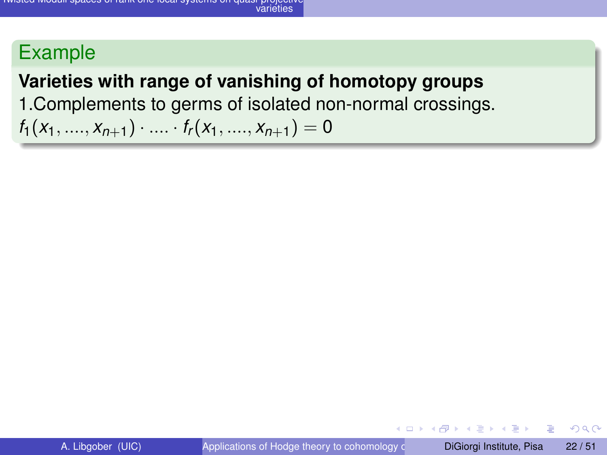## **Varieties with range of vanishing of homotopy groups**

1.Complements to germs of isolated non-normal crossings.

 $f_1(x_1, ..., x_{n+1}) \cdot ... \cdot f_r(x_1, ..., x_{n+1}) = 0$ 

 $\Omega$ 

 $\mathcal{A}$   $\overline{B}$   $\rightarrow$   $\mathcal{A}$   $\overline{B}$   $\rightarrow$   $\mathcal{A}$   $\overline{B}$   $\rightarrow$   $\mathcal{A}$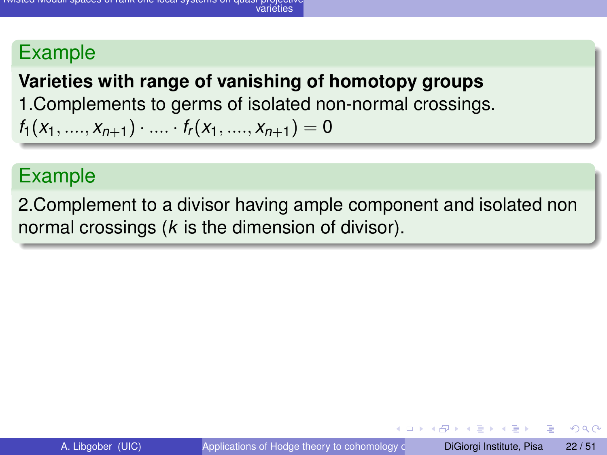## **Varieties with range of vanishing of homotopy groups** 1.Complements to germs of isolated non-normal crossings.  $f_1(x_1, \ldots, x_{n+1}) \cdot \ldots \cdot f_r(x_1, \ldots, x_{n+1}) = 0$

## Example

2.Complement to a divisor having ample component and isolated non normal crossings (*k* is the dimension of divisor).

 $\Omega$ 

イロト イ押ト イヨト イヨトー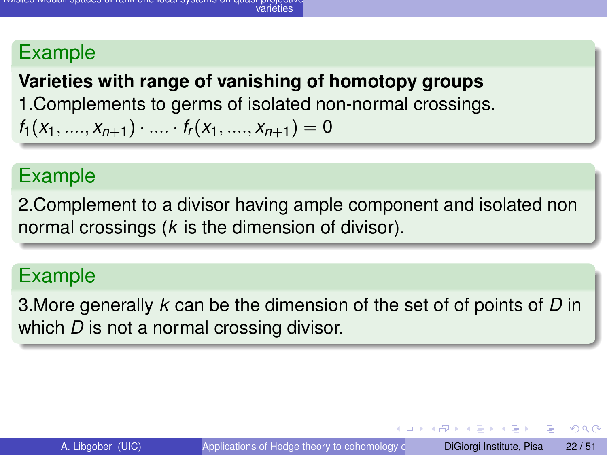## **Varieties with range of vanishing of homotopy groups** 1.Complements to germs of isolated non-normal crossings.  $f_1(x_1, \ldots, x_{n+1}) \cdot \ldots \cdot f_r(x_1, \ldots, x_{n+1}) = 0$

### Example

2.Complement to a divisor having ample component and isolated non normal crossings (*k* is the dimension of divisor).

## Example

3.More generally *k* can be the dimension of the set of of points of *D* in which *D* is not a normal crossing divisor.

 $\equiv$ 

 $\Omega$ 

イロト イ押 トイラ トイラトー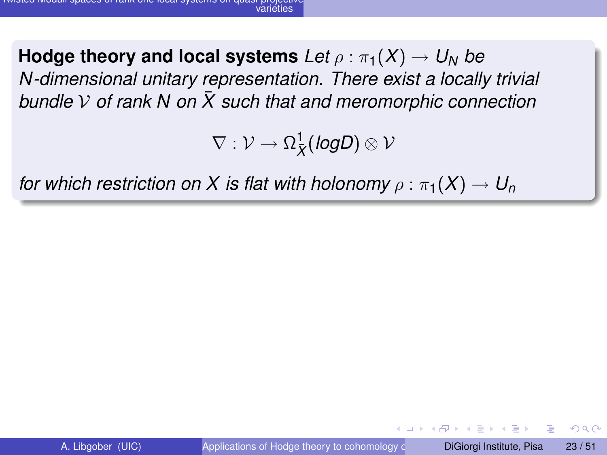**Hodge theory and local systems**  $Let \rho : \pi_1(X) \to U_N$  be *N-dimensional unitary representation. There exist a locally trivial bundle*  $\vee$  *of rank N on*  $\overline{X}$  *such that and meromorphic connection* 

 $\nabla: \mathcal{V} \rightarrow \Omega^1_{\overline{X}}(\textit{logD}) \otimes \mathcal{V}$ 

*for which restriction on X is flat with holonomy*  $\rho : \pi_1(X) \to U_n$ 

 $\Omega$ 

化重新分离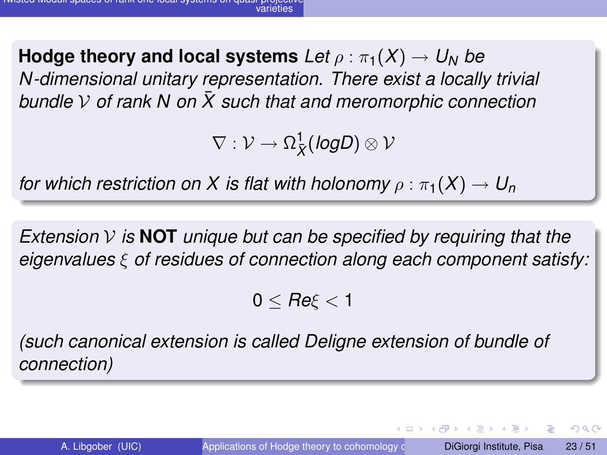**Hodge theory and local systems**  $Let \rho : \pi_1(X) \to U_N$  be *N-dimensional unitary representation. There exist a locally trivial bundle*  $\vee$  *of rank N on*  $\overline{X}$  *such that and meromorphic connection* 

 $\nabla: \mathcal{V} \rightarrow \Omega^1_{\overline{X}}(\textit{logD}) \otimes \mathcal{V}$ 

*for which restriction on X is flat with holonomy*  $\rho : \pi_1(X) \to U_n$ 

*Extension* V *is* **NOT** *unique but can be specified by requiring that the eigenvalues* ξ *of residues of connection along each component satisfy:*

 $0 \leq Re \xi \leq 1$ 

*(such canonical extension is called Deligne extension of bundle of connection)*

 $\Omega$ 

 $(0,1)$   $(0,1)$   $(0,1)$   $(1,1)$   $(1,1)$   $(1,1)$   $(1,1)$   $(1,1)$   $(1,1)$   $(1,1)$   $(1,1)$   $(1,1)$   $(1,1)$   $(1,1)$   $(1,1)$   $(1,1)$   $(1,1)$   $(1,1)$   $(1,1)$   $(1,1)$   $(1,1)$   $(1,1)$   $(1,1)$   $(1,1)$   $(1,1)$   $(1,1)$   $(1,1)$   $(1,1$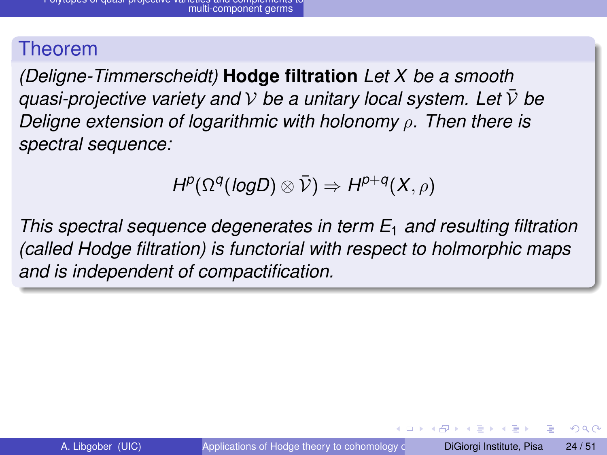*(Deligne-Timmerscheidt)* **Hodge filtration** *Let X be a smooth quasi-projective variety and*  $V$  *be a unitary local system. Let*  $\overline{V}$  *be Deligne extension of logarithmic with holonomy* ρ*. Then there is spectral sequence:*

$$
H^p(\Omega^q(log D) \otimes \bar{\mathcal{V}}) \Rightarrow H^{p+q}(X,\rho)
$$

*This spectral sequence degenerates in term E*<sup>1</sup> *and resulting filtration (called Hodge filtration) is functorial with respect to holmorphic maps and is independent of compactification.*

イロト イ押 トイラト イラト

 $\Omega$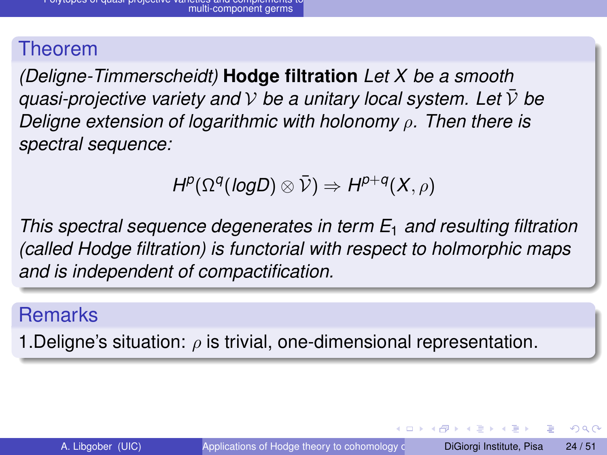*(Deligne-Timmerscheidt)* **Hodge filtration** *Let X be a smooth quasi-projective variety and*  $\mathcal V$  *be a unitary local system. Let*  $\bar{\mathcal V}$  *be Deligne extension of logarithmic with holonomy* ρ*. Then there is spectral sequence:*

$$
H^p(\Omega^q(log D) \otimes \bar{\mathcal{V}}) \Rightarrow H^{p+q}(X,\rho)
$$

*This spectral sequence degenerates in term E*<sup>1</sup> *and resulting filtration (called Hodge filtration) is functorial with respect to holmorphic maps and is independent of compactification.*

## **Remarks**

1. Deligne's situation:  $\rho$  is trivial, one-dimensional representation.

 $\Omega$ 

 $(0,1)$   $(0,1)$   $(0,1)$   $(1,1)$   $(1,1)$   $(1,1)$   $(1,1)$   $(1,1)$   $(1,1)$   $(1,1)$   $(1,1)$   $(1,1)$   $(1,1)$   $(1,1)$   $(1,1)$   $(1,1)$   $(1,1)$   $(1,1)$   $(1,1)$   $(1,1)$   $(1,1)$   $(1,1)$   $(1,1)$   $(1,1)$   $(1,1)$   $(1,1)$   $(1,1)$   $(1,1$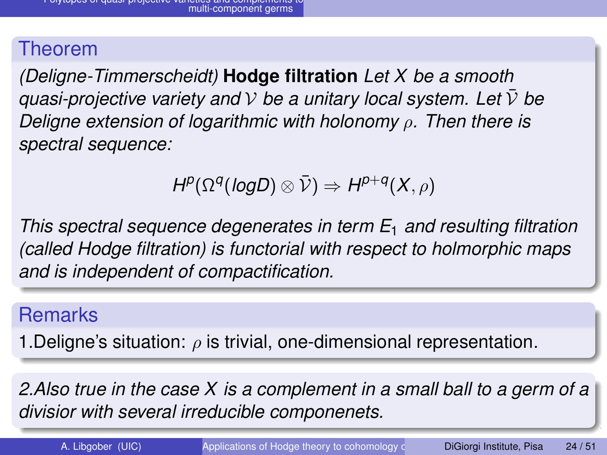*(Deligne-Timmerscheidt)* **Hodge filtration** *Let X be a smooth quasi-projective variety and*  $\mathcal V$  *be a unitary local system. Let*  $\bar{\mathcal V}$  *be Deligne extension of logarithmic with holonomy* ρ*. Then there is spectral sequence:*

$$
H^p(\Omega^q(log D) \otimes \bar{\mathcal{V}}) \Rightarrow H^{p+q}(X,\rho)
$$

*This spectral sequence degenerates in term E*<sup>1</sup> *and resulting filtration (called Hodge filtration) is functorial with respect to holmorphic maps and is independent of compactification.*

## **Remarks**

1. Deligne's situation:  $\rho$  is trivial, one-dimensional representation.

*2.Also true in the case X is a complement in a small ball to a germ of a divisior with several irreducible componenets.*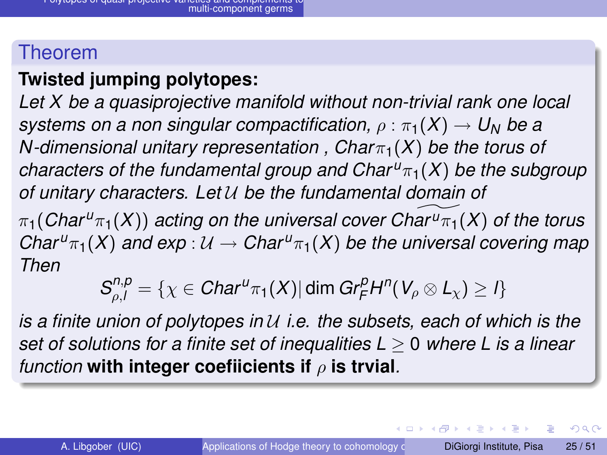## **Twisted jumping polytopes:**

*Let X be a quasiprojective manifold without non-trivial rank one local systems on a non singular compactification,*  $\rho : \pi_1(X) \to U_N$  *be a N*-dimensional unitary representation,  $Char_{1}(X)$  be the torus of *characters of the fundamental group and Char*  $u_{\pi_1}(X)$  *be the subgroup of unitary characters. Let* U *be the fundamental domain of*

 $\pi_1$ (*Char*<sup>*u*</sup> $\pi_1$ (*X*)) *acting on the universal cover Char*<sup>*u*</sup> $\pi_1$ (*X*) *of the torus Char*<sup> $u_{\pi_1}(X)$  *and exp* :  $\mathcal{U} \to$  *Char*<sup> $u_{\pi_1}(X)$  *be the universal covering map*</sup></sup> *Then*

$$
S_{\rho,I}^{n,p} = \{ \chi \in Char^{u}\pi_1(X) | \dim Gr_F^pH^n(V_\rho \otimes L_\chi) \geq I \}
$$

*is a finite union of polytopes in* U *i.e. the subsets, each of which is the set of solutions for a finite set of inequalities L* ≥ 0 *where L is a linear function* **with integer coefiicients if** ρ **is trvial***.*

E

 $\Omega$ 

 $(0,1)$   $(0,1)$   $(0,1)$   $(1,1)$   $(1,1)$   $(1,1)$   $(1,1)$   $(1,1)$   $(1,1)$   $(1,1)$   $(1,1)$   $(1,1)$   $(1,1)$   $(1,1)$   $(1,1)$   $(1,1)$   $(1,1)$   $(1,1)$   $(1,1)$   $(1,1)$   $(1,1)$   $(1,1)$   $(1,1)$   $(1,1)$   $(1,1)$   $(1,1)$   $(1,1)$   $(1,1$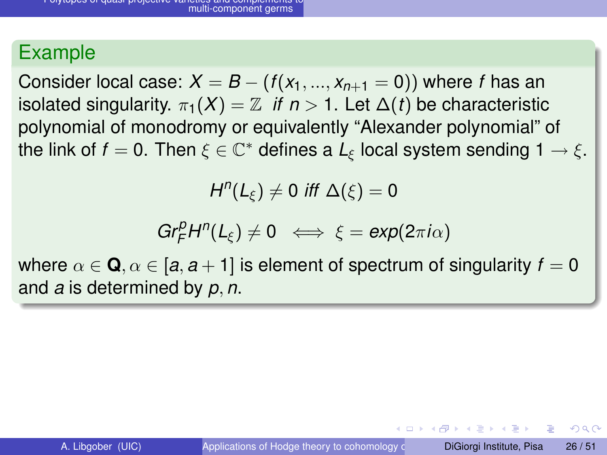Consider local case:  $X = B - (f(x_1, ..., x_{n+1} = 0))$  where f has an isolated singularity.  $\pi_1(X) = \mathbb{Z}$  *if*  $n > 1$ . Let  $\Delta(t)$  be characteristic polynomial of monodromy or equivalently "Alexander polynomial" of the link of  $f=0.$  Then  $\xi\in\mathbb{C}^*$  defines a  $L_\xi$  local system sending 1  $\rightarrow \xi.$ 

 $H^n(L_\xi) \neq 0$  *iff*  $\Delta(\xi) = 0$ 

$$
Gr_F^pH^n(L_\xi)\neq 0 \iff \xi=exp(2\pi i\alpha)
$$

where  $\alpha \in \mathbf{Q}, \alpha \in [a, a + 1]$  is element of spectrum of singularity  $f = 0$ and *a* is determined by *p*, *n*.

イロト イ押ト イヨト イヨトー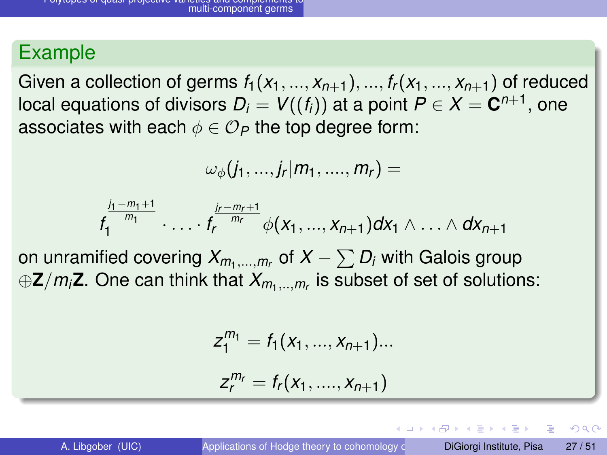Given a collection of germs  $f_1(x_1, ..., x_{n+1}), ..., f_r(x_1, ..., x_{n+1})$  of reduced local equations of divisors  $D_i = \mathsf{V}((f_i))$  at a point  $P \in X = \mathbf{C}^{n+1},$  one associates with each  $\phi \in \mathcal{O}_P$  the top degree form:

$$
\omega_{\phi}(j_1,...,j_r|m_1,....,m_r) =
$$

$$
f_1^{\frac{j_1-m_1+1}{m_1}} \cdot \ldots \cdot f_r^{\frac{j_r-m_r+1}{m_r}} \phi(x_1, ..., x_{n+1}) dx_1 \wedge \ldots \wedge dx_{n+1}
$$

on unramified covering  $X_{m_1,...,m_r}$  of  $X-\sum D_i$  with Galois group ⊕**Z**/*mi***Z**. One can think that *Xm*1,..,*m<sup>r</sup>* is subset of set of solutions:

$$
z_1^{m_1}=f_1(x_1,...,x_{n+1})...
$$

$$
z_r^{m_r}=f_r(x_1, \ldots, x_{n+1})
$$

 $\Omega$ 

イロト イ押ト イヨト イヨト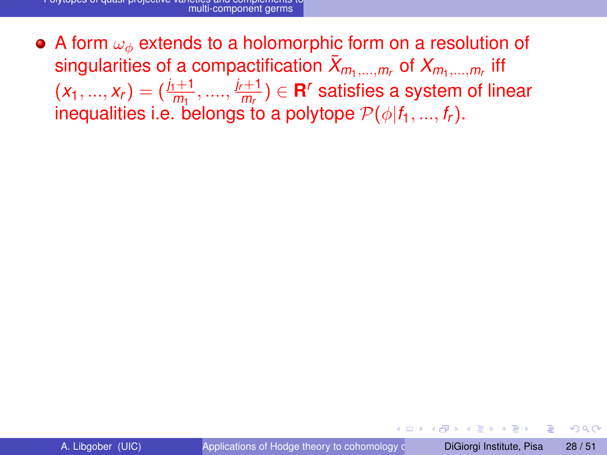• A form  $\omega_{\phi}$  extends to a holomorphic form on a resolution of singularities of a compactification  $\bar{X}_{m_1,...,m_r}$  of  $X_{m_1,...,m_r}$  iff  $(x_1,...,x_r) = (\frac{j_1+1}{m_1},....,\frac{j_r+1}{m_r}) \in {\bf R}^r$  satisfies a system of linear  $m_p$   $(m_1, ..., m_r)$   $(m_{m_1}, ..., m_r)$   $\subset$  **n** salishes a system inequalities i.e. belongs to a polytope  $\mathcal{P}(\phi | f_1, ..., f_r)$ .

 $\Omega$ 

 $A \equiv 0.4 \equiv$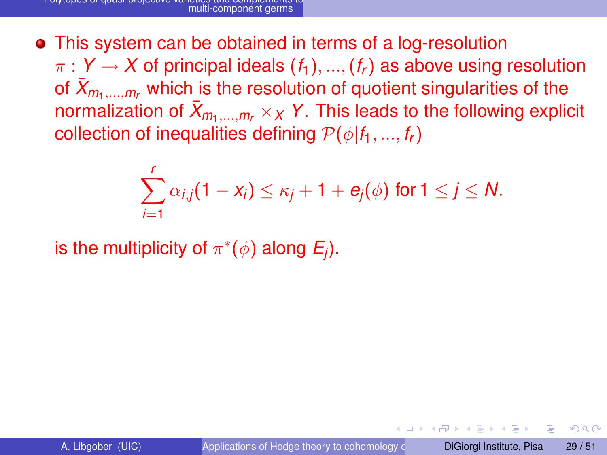This system can be obtained in terms of a log-resolution  $\pi$  :  $Y \rightarrow X$  of principal ideals  $(f_1), ..., (f_r)$  as above using resolution of  $\bar{X}_{m_1,...,m_r}$  which is the resolution of quotient singularities of the normalization of  $\bar{X}_{m_1,...,m_r} \times_X Y$ . This leads to the following explicit collection of inequalities defining  $\mathcal{P}(\phi|f_1, ..., f_r)$ 

$$
\sum_{i=1}^r \alpha_{i,j}(1-x_i) \leq \kappa_j + 1 + e_j(\phi) \text{ for } 1 \leq j \leq N.
$$

is the multiplicity of  $\pi^*(\phi)$  along  $E_j$ ).

 $\Omega$ 

化重压 不重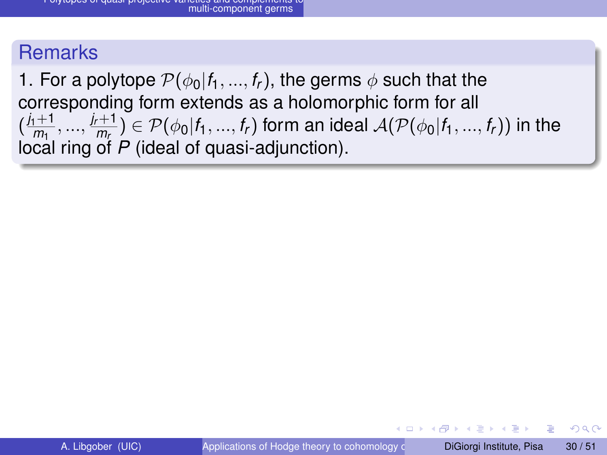#### **Remarks**

1. For a polytope  $\mathcal{P}(\phi_0|f_1, ..., f_r)$ , the germs  $\phi$  such that the corresponding form extends as a holomorphic form for all  $\frac{j_1+1}{m_1}$  $\frac{j_{1}+1}{m_{1}}, \ldots, \frac{j_{r}+1}{m_{r}}$  $\overline{m_r}$ )  $\in \mathcal{P}(\phi_0|f_1,...,f_r)$  form an ideal  $\mathcal{A}(\mathcal{P}(\phi_0|f_1,...,f_r))$  in the local ring of *P* (ideal of quasi-adjunction).

 $\Omega$ 

 $\mathcal{A}$   $\overline{\mathcal{B}}$   $\rightarrow$   $\mathcal{A}$   $\overline{\mathcal{B}}$   $\rightarrow$   $\mathcal{A}$   $\overline{\mathcal{B}}$   $\rightarrow$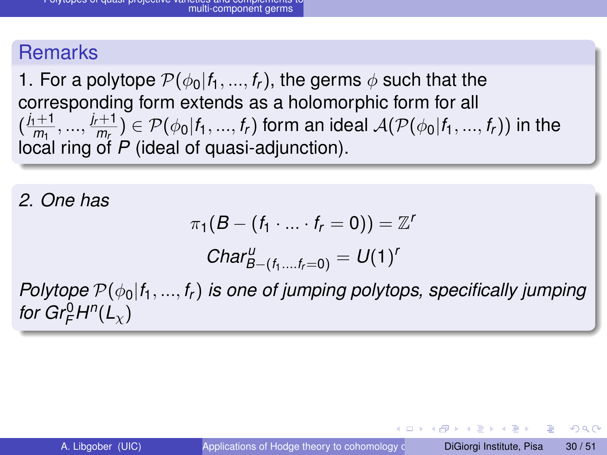### **Remarks**

1. For a polytope  $\mathcal{P}(\phi_0|f_1,...,f_r)$ , the germs  $\phi$  such that the corresponding form extends as a holomorphic form for all  $\frac{j_1+1}{m_1}$  $\frac{j_{1}+1}{m_{1}}, \ldots, \frac{j_{r}+1}{m_{r}}$  $\overline{m_r}$ )  $\in \mathcal{P}(\phi_0|f_1,...,f_r)$  form an ideal  $\mathcal{A}(\mathcal{P}(\phi_0|f_1,...,f_r))$  in the local ring of *P* (ideal of quasi-adjunction).

*2. One has*

$$
\pi_1(B-(f_1\cdot\ldots\cdot f_r=0))=\mathbb{Z}^r
$$

$$
Char_{B-(f_1...f_r=0)}^U=U(1)^r
$$

*Polytope*  $\mathcal{P}(\phi_0|f_1, ..., f_r)$  *is one of jumping polytops, specifically jumping for Gr* $_{F}^{0}H^{n}(L_{\chi})$ 

 $\Omega$ 

イロト イ押ト イヨト イヨトー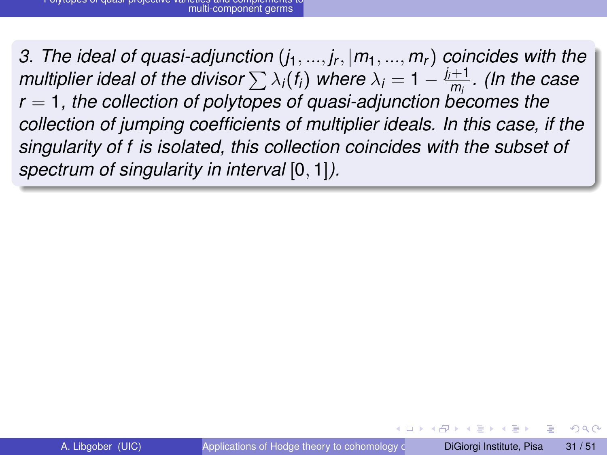*3. The ideal of quasi-adjunction* (*j*1, ..., *j<sup>r</sup>* , |*m*1, ..., *mr*) *coincides with the multiplier ideal of the divisor*  $\sum \lambda_i(f_i)$  *where*  $\lambda_i = 1 - \frac{j_i+1}{m_i}$ *. (In the case r* = 1, the collection of polytopes of quasi-adjunction becomes the *collection of jumping coefficients of multiplier ideals. In this case, if the singularity of f is isolated, this collection coincides with the subset of spectrum of singularity in interval* [0, 1]*).*

 $\Omega$ 

 $\mathcal{A}$   $\overline{\mathcal{B}}$   $\rightarrow$   $\mathcal{A}$   $\overline{\mathcal{B}}$   $\rightarrow$   $\mathcal{A}$   $\overline{\mathcal{B}}$   $\rightarrow$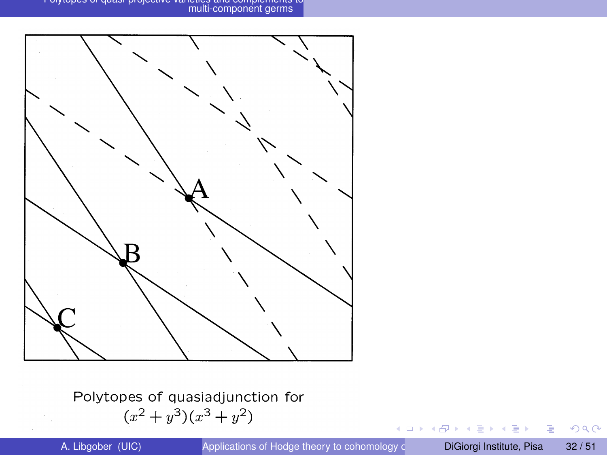Polytopes of quasi-projective varieties and complements to multi-component germs



Polytopes of quasiadjunction for  $(x^{2}+y^{3})(x^{3}+y^{2})$ 

 $-0.11 - 1.5$ 

重

 $299$ 

御き メミメメミン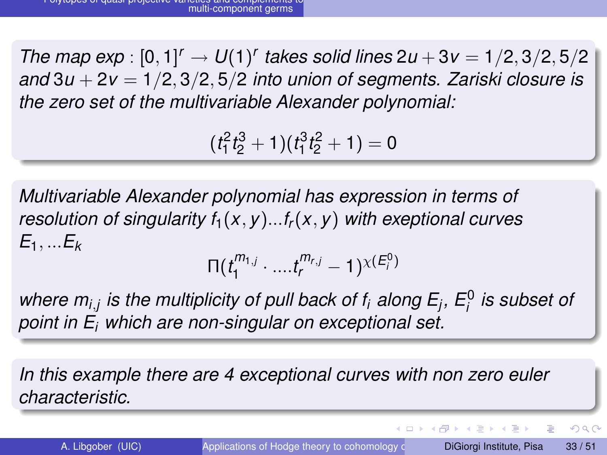*The map exp* :  $[0, 1]^r \to U(1)^r$  takes solid lines  $2u + 3v = 1/2, 3/2, 5/2$ *and* 3*u* + 2*v* = 1/2, 3/2, 5/2 *into union of segments. Zariski closure is the zero set of the multivariable Alexander polynomial:*

 $(t_1^2 t_2^3 + 1)(t_1^3 t_2^2 + 1) = 0$ 

*Multivariable Alexander polynomial has expression in terms of resolution of singularity*  $f_1(x, y) \dots f_r(x, y)$  *with exeptional curves E*1, ...*E<sup>k</sup>*

 $\Pi(t_1^{m_1}$  $\frac{1}{1}^{m_{1,j}} \cdot ... \cdot t_r^{m_{r,j}} - 1$ ) $^{\chi(E_i^0)}$ 

where  $m_{i,j}$  is the multiplicity of pull back of  $f_i$  along  $E_j$ ,  $E_i^0$  is subset of *point in E<sup>i</sup> which are non-singular on exceptional set.*

*In this example there are 4 exceptional curves with non zero euler characteristic.*

в

 $\Omega$ 

 $(0,1)$   $(0,1)$   $(0,1)$   $(1,1)$   $(1,1)$   $(1,1)$   $(1,1)$   $(1,1)$   $(1,1)$   $(1,1)$   $(1,1)$   $(1,1)$   $(1,1)$   $(1,1)$   $(1,1)$   $(1,1)$   $(1,1)$   $(1,1)$   $(1,1)$   $(1,1)$   $(1,1)$   $(1,1)$   $(1,1)$   $(1,1)$   $(1,1)$   $(1,1)$   $(1,1)$   $(1,1$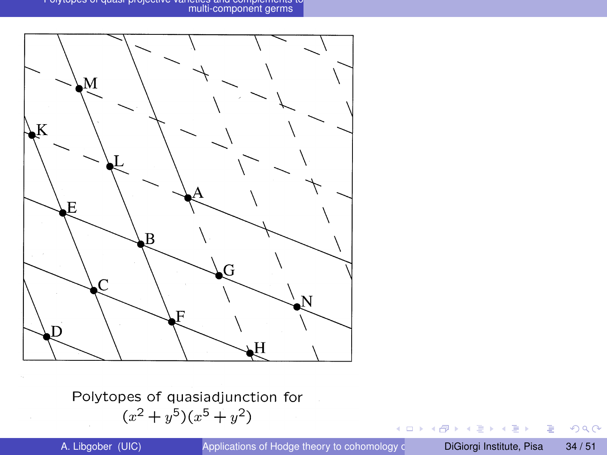Polytopes of quasi-projective varieties and complements to multi-component germs



Polytopes of quasiadjunction for  $(x^{2}+y^{5})(x^{5}+y^{2})$ 

 $(1 - 1)$ 

A P

重

 $299$ 

 $A \equiv 0.4 \equiv$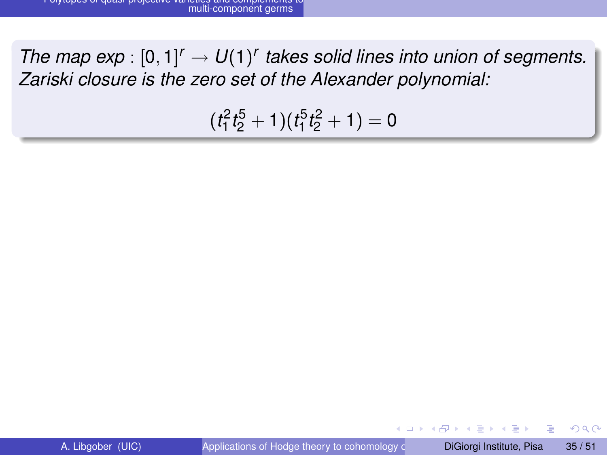*The map exp* :  $[0, 1]^r \rightarrow U(1)^r$  takes solid lines into union of segments. *Zariski closure is the zero set of the Alexander polynomial:*

 $(t_1^2 t_2^5 + 1)(t_1^5 t_2^2 + 1) = 0$ 

 $\Omega$ 

イロト イ押ト イヨト イヨ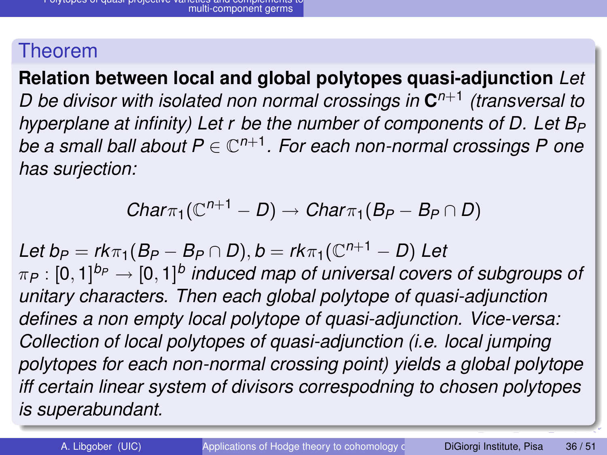**Relation between local and global polytopes quasi-adjunction** *Let D be divisor with isolated non normal crossings in* **C** *n*+1 *(transversal to hyperplane at infinity) Let r be the number of components of D. Let B<sup>P</sup> be a small ball about P* ∈ C *n*+1 *. For each non-normal crossings P one has surjection:*

$$
Char_{\pi_1}(\mathbb{C}^{n+1}-D)\rightarrow Char_{\pi_1}(B_P-B_P\cap D)
$$

 $\mathcal{L}$ *et*  $b_P = r k \pi_1 (B_P - B_P \cap D), b = r k \pi_1 (\mathbb{C}^{n+1} - D)$   $\mathcal{L}$ *et*  $\pi_P : [0,1]^{b_P} \rightarrow [0,1]^b$  induced map of universal covers of subgroups of *unitary characters. Then each global polytope of quasi-adjunction defines a non empty local polytope of quasi-adjunction. Vice-versa: Collection of local polytopes of quasi-adjunction (i.e. local jumping polytopes for each non-normal crossing point) yields a global polytope iff certain linear system of divisors correspodning to chosen polytopes is superabundant.*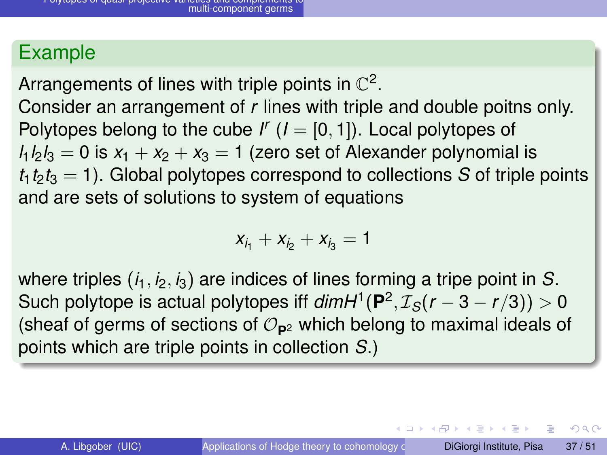Arrangements of lines with triple points in  $\mathbb{C}^2$ .

Consider an arrangement of *r* lines with triple and double poitns only. Polytopes belong to the cube  $I'$   $(I = [0, 1])$ . Local polytopes of  $l_1 l_2 l_3 = 0$  is  $x_1 + x_2 + x_3 = 1$  (zero set of Alexander polynomial is  $t_1 t_2 t_3 = 1$ ). Global polytopes correspond to collections *S* of triple points and are sets of solutions to system of equations

$$
x_{i_1}+x_{i_2}+x_{i_3}=1
$$

where triples  $(i_1, i_2, i_3)$  are indices of lines forming a tripe point in *S*. Such polytope is actual polytopes iff  $dim H^1({\bf P}^2,\mathcal{I}_\mathcal{S}(r-3-r/3))>0$ (sheaf of germs of sections of  $\mathcal{O}_{\mathbf{p}2}$  which belong to maximal ideals of points which are triple points in collection *S*.)

 $\Omega$ 

 $(0.123 \times 10^{-14} \text{ m}) \times 10^{-14} \text{ m} \times 10^{-14} \text{ m}$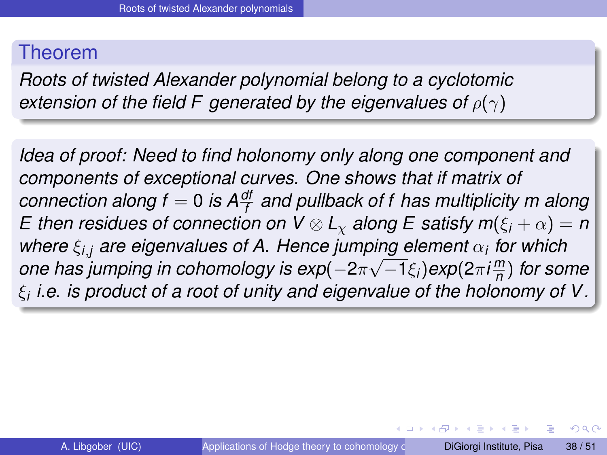*Roots of twisted Alexander polynomial belong to a cyclotomic extension of the field F generated by the eigenvalues of*  $\rho(\gamma)$ 

*Idea of proof: Need to find holonomy only along one component and components of exceptional curves. One shows that if matrix of connection along f* = 0 *is Adf f and pullback of f has multiplicity m along E* then residues of connection on  $V \otimes L_{\chi}$  along *E* satisfy  $m(\xi_i + \alpha) = n$ *where*  $\xi_{i,j}$  are eigenvalues of A. Hence jumping element  $\alpha_i$  for which *one has jumping in cohomology is exp*(−2π√−1ξ*i*)exp(2πi $\frac{m}{n}$ *n* ) *for some* ξ*i i.e. is product of a root of unity and eigenvalue of the holonomy of V.*

 $\Omega$ 

イロト イ押 トイラト イラト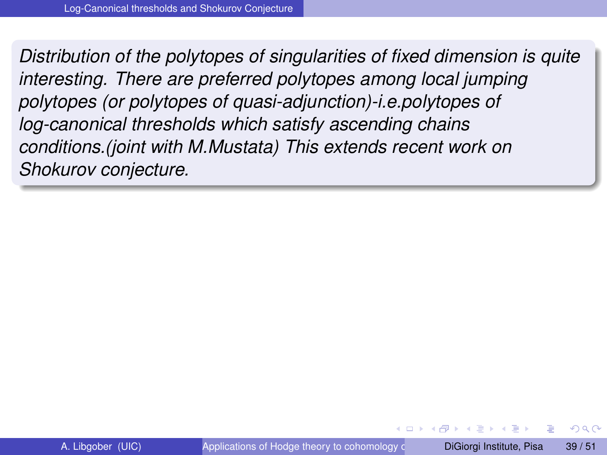*Distribution of the polytopes of singularities of fixed dimension is quite interesting. There are preferred polytopes among local jumping polytopes (or polytopes of quasi-adjunction)-i.e.polytopes of log-canonical thresholds which satisfy ascending chains conditions.(joint with M.Mustata) This extends recent work on Shokurov conjecture.*

. . . . **.** .

 $\Omega$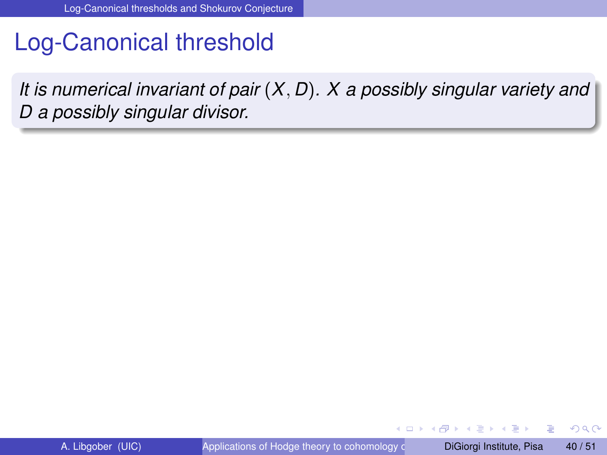## Log-Canonical threshold

*It is numerical invariant of pair* (*X*, *D*)*. X a possibly singular variety and D a possibly singular divisor.*

4 0 8

 $\leftarrow$   $\leftarrow$   $\leftarrow$ 

 $\Omega$ 

医单位 医单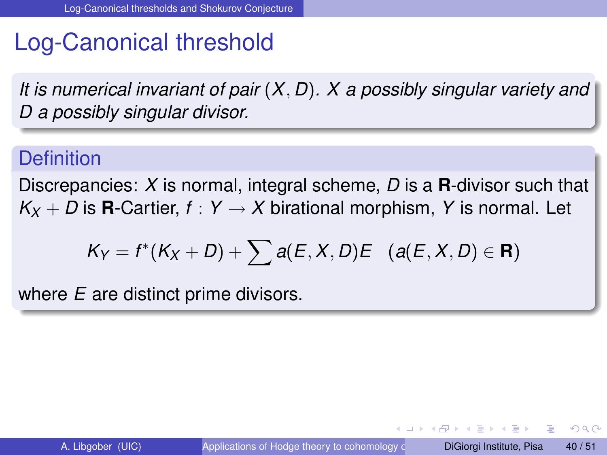## Log-Canonical threshold

*It is numerical invariant of pair* (*X*, *D*)*. X a possibly singular variety and D a possibly singular divisor.*

#### **Definition**

Discrepancies: *X* is normal, integral scheme, *D* is a **R**-divisor such that  $K_X + D$  is **R**-Cartier,  $f: Y \rightarrow X$  birational morphism, Y is normal. Let

$$
K_Y=f^*(K_X+D)+\sum a(E,X,D)E \quad (a(E,X,D)\in\mathbf{R})
$$

where *E* are distinct prime divisors.

 $\Omega$ 

イロト イ押 トイラト イラト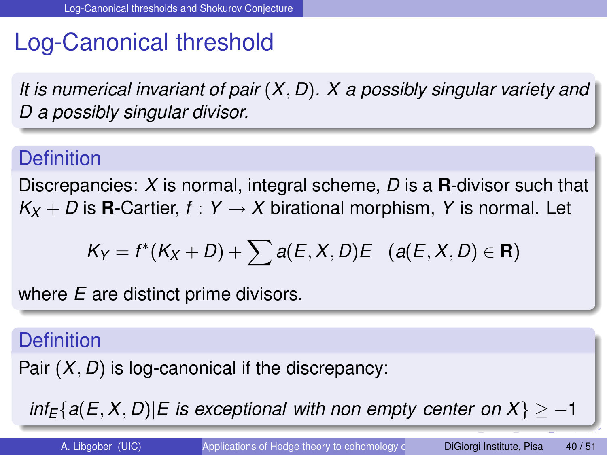# Log-Canonical threshold

*It is numerical invariant of pair* (*X*, *D*)*. X a possibly singular variety and D a possibly singular divisor.*

## **Definition**

Discrepancies: *X* is normal, integral scheme, *D* is a **R**-divisor such that  $K_X + D$  is **R**-Cartier,  $f: Y \rightarrow X$  birational morphism, Y is normal. Let

$$
K_Y=f^*(K_X+D)+\sum a(E,X,D)E \quad (a(E,X,D)\in\mathbf{R})
$$

where *E* are distinct prime divisors.

#### **Definition**

Pair (*X*, *D*) is log-canonical if the discrepancy:

 $inf_F{a(E, X, D)|E}$  *is exceptional with non empty center on*  $X$ }  $> -1$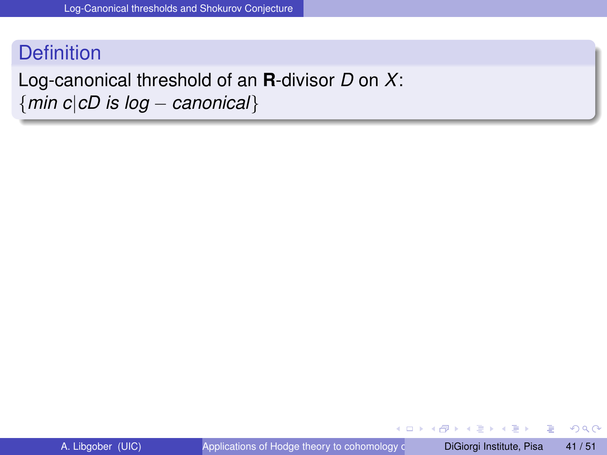### **Definition**

#### Log-canonical threshold of an **R**-divisor *D* on *X*: {*min c*|*cD is log* − *canonical*}

Þ

 $QQ$ 

 $(0,1)$   $(0,1)$   $(0,1)$   $(1,1)$   $(1,1)$   $(1,1)$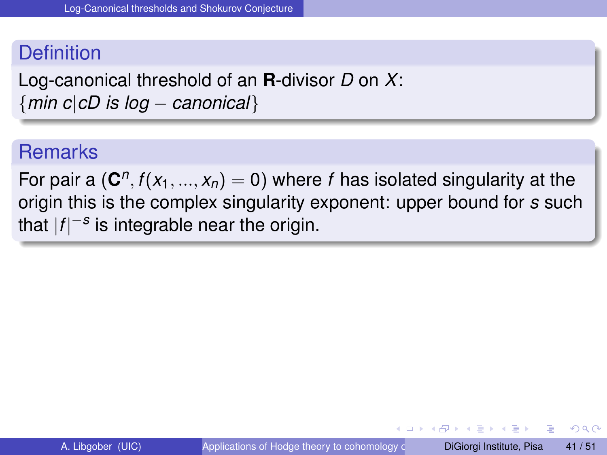#### **Definition**

Log-canonical threshold of an **R**-divisor *D* on *X*: {*min c*|*cD is log* − *canonical*}

#### **Remarks**

For pair a  $(\mathbf{C}^n, f(x_1, ..., x_n) = 0)$  where *f* has isolated singularity at the origin this is the complex singularity exponent: upper bound for *s* such that |*f*| −*s* is integrable near the origin.

 $\Omega$ 

イロト イ押ト イヨト イヨトー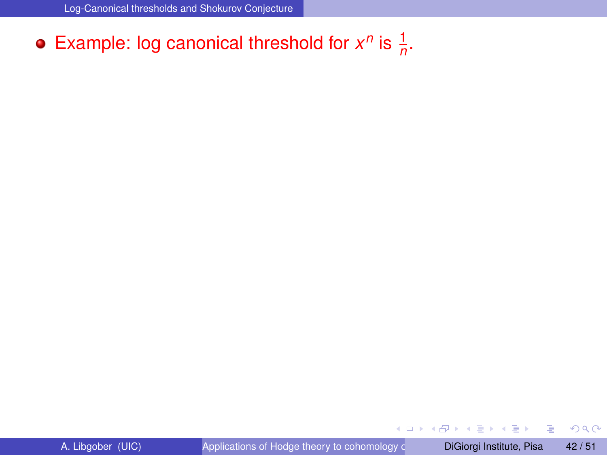## Example: log canonical threshold for  $x^n$  is  $\frac{1}{n}$ .

重

 $299$ 

 $(0,1)$   $(0,1)$   $(0,1)$   $(1,1)$   $(1,1)$   $(1,1)$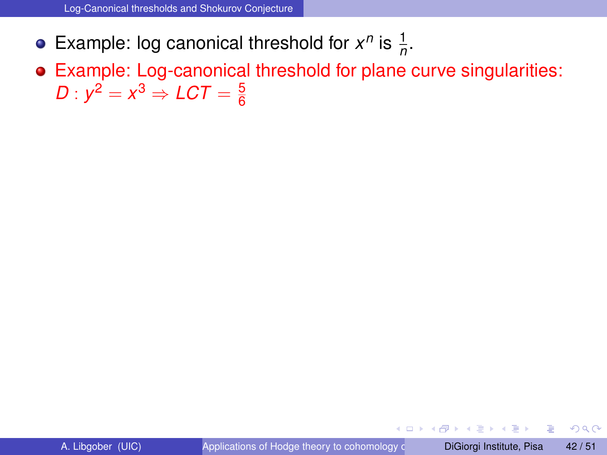- Example: log canonical threshold for  $x^n$  is  $\frac{1}{n}$ .
- Example: Log-canonical threshold for plane curve singularities:  $D : y^2 = x^3 \Rightarrow LCT = \frac{5}{6}$ 6

4 0 8 1

Þ

 $\Omega$ 

 $\mathcal{A}$   $\overline{\mathcal{B}}$   $\rightarrow$   $\mathcal{A}$   $\overline{\mathcal{B}}$   $\rightarrow$   $\mathcal{A}$   $\overline{\mathcal{B}}$   $\rightarrow$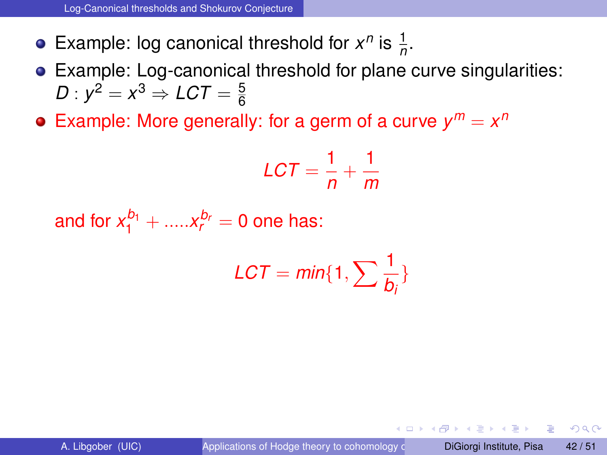- Example: log canonical threshold for  $x^n$  is  $\frac{1}{n}$ .
- Example: Log-canonical threshold for plane curve singularities:  $D : y^2 = x^3 \Rightarrow LCT = \frac{5}{6}$ 6
- Example: More generally: for a germ of a curve  $y^m = x^n$

$$
\mathcal{L}CT = \frac{1}{n} + \frac{1}{m}
$$

and for  $x_1^{b_1} + \dots x_r^{b_r} = 0$  one has:

$$
LCT = min\{1, \sum \frac{1}{b_i}\}
$$

 $\Omega$ 

 $\mathcal{A}$   $\overline{\mathcal{B}}$   $\rightarrow$   $\mathcal{A}$   $\overline{\mathcal{B}}$   $\rightarrow$   $\mathcal{A}$   $\overline{\mathcal{B}}$   $\rightarrow$   $\mathcal{B}$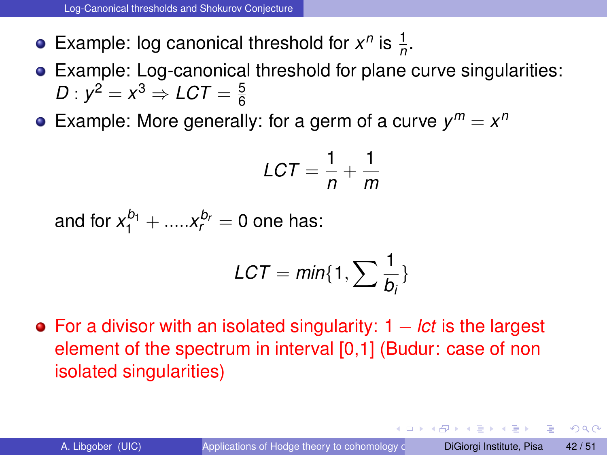Example: log canonical threshold for  $x^n$  is  $\frac{1}{n}$ .

- Example: Log-canonical threshold for plane curve singularities:  $D : y^2 = x^3 \Rightarrow LCT = \frac{5}{6}$ 6
- Example: More generally: for a germ of a curve  $y^m = x^n$

$$
\mathcal{L}CT = \frac{1}{n} + \frac{1}{m}
$$

and for  $x_1^{b_1} + \dots x_r^{b_r} = 0$  one has:

$$
LCT = min\{1, \sum \frac{1}{b_i}\}
$$

For a divisor with an isolated singularity: 1 − *lct* is the largest element of the spectrum in interval [0,1] (Budur: case of non isolated singularities)

<span id="page-74-0"></span> $\Omega$ 

イロト イ押ト イヨト イヨト ニヨ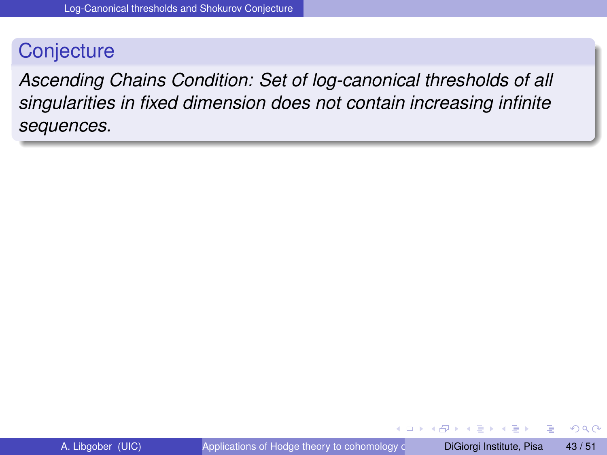### **Conjecture**

*Ascending Chains Condition: Set of log-canonical thresholds of all singularities in fixed dimension does not contain increasing infinite sequences.*

<span id="page-75-0"></span> $\Omega$ 

医单位 医单

 $\leftarrow$   $\leftarrow$   $\leftarrow$ 

4 0 5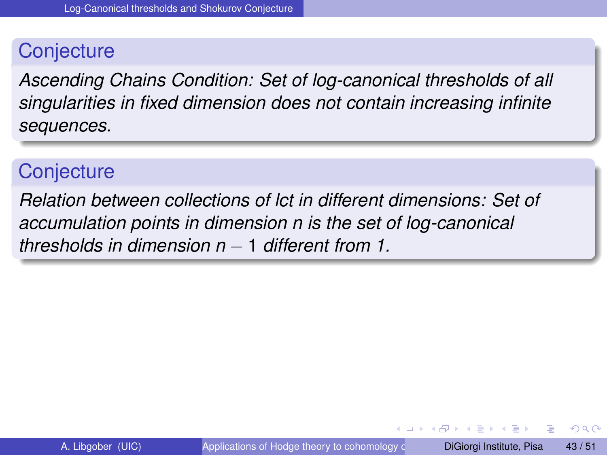### **Conjecture**

*Ascending Chains Condition: Set of log-canonical thresholds of all singularities in fixed dimension does not contain increasing infinite sequences.*

### **Conjecture**

*Relation between collections of lct in different dimensions: Set of accumulation points in dimension n is the set of log-canonical thresholds in dimension n* − 1 *different from 1.*

 $\Omega$ 

医单位 医单位

 $\leftarrow$   $\leftarrow$   $\leftarrow$ 

4 m k 1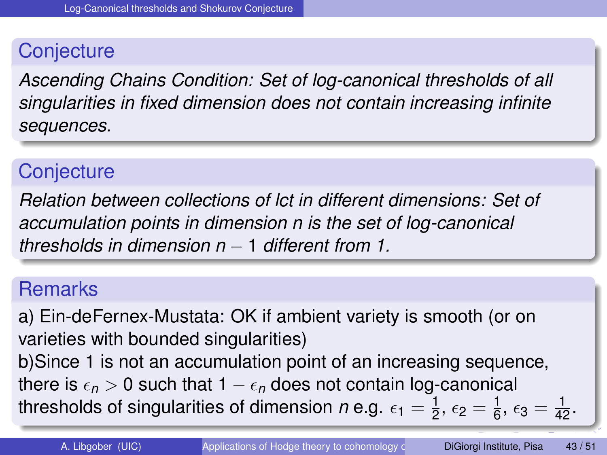## **Conjecture**

*Ascending Chains Condition: Set of log-canonical thresholds of all singularities in fixed dimension does not contain increasing infinite sequences.*

# **Conjecture**

*Relation between collections of lct in different dimensions: Set of accumulation points in dimension n is the set of log-canonical thresholds in dimension n* − 1 *different from 1.*

### **Remarks**

a) Ein-deFernex-Mustata: OK if ambient variety is smooth (or on varieties with bounded singularities) b)Since 1 is not an accumulation point of an increasing sequence, there is  $\epsilon_n > 0$  such that  $1 - \epsilon_n$  does not contain log-canonical thresholds of singularities of dimension *n* e.g.  $\epsilon_1 = \frac{1}{2}$  $\frac{1}{2}$  $\frac{1}{2}$  $\frac{1}{2}$ ,  $\epsilon_2 = \frac{1}{6}$  $\frac{1}{6}$  $\frac{1}{6}$  $\frac{1}{6}$ ,  $\epsilon_3 = \frac{1}{42}$  $\epsilon_3 = \frac{1}{42}$  $\epsilon_3 = \frac{1}{42}$ .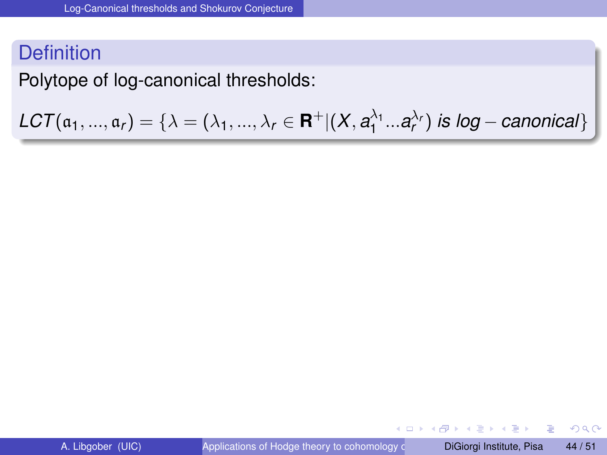Polytope of log-canonical thresholds:

 $LCT(\mathfrak{a}_1, ..., \mathfrak{a}_r) = \{ \lambda = (\lambda_1, ..., \lambda_r \in \mathbf{R}^+ | (X, a_1^{\lambda_1}... a_r^{\lambda_r}) \text{ is log}-\text{canonical} \}$ 

в

 $\Omega$ 

4 0 8 4 5 8 4 5 8 4 5 8 1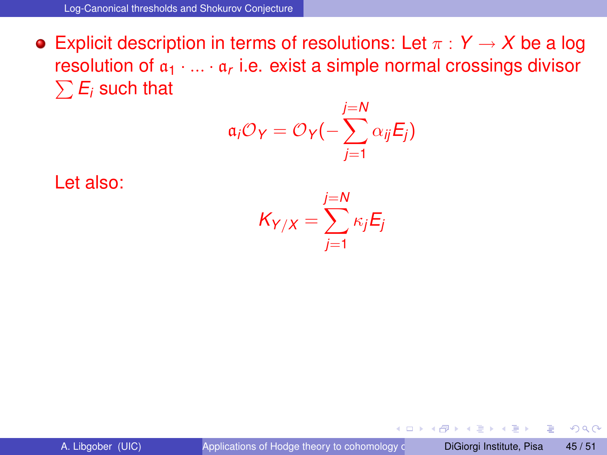**•** Explicit description in terms of resolutions: Let  $\pi$  :  $Y \rightarrow X$  be a log resolution of  $\mathfrak{a}_1 \cdot ... \cdot \mathfrak{a}_r$  i.e. exist a simple normal crossings divisor  $\sum \mathit{E}_{i}$  such that

$$
\mathfrak{a}_i \mathcal{O}_Y = \mathcal{O}_Y(-\sum_{j=1}^{j=N} \alpha_{ij} E_j)
$$

Let also:

$$
K_{Y/X} = \sum_{j=1}^{j=N} \kappa_j E_j
$$

and in

 $QQ$ 

 $\mathcal{A}$   $\overline{\mathcal{B}}$   $\rightarrow$   $\mathcal{A}$   $\overline{\mathcal{B}}$   $\rightarrow$   $\mathcal{A}$   $\overline{\mathcal{B}}$   $\rightarrow$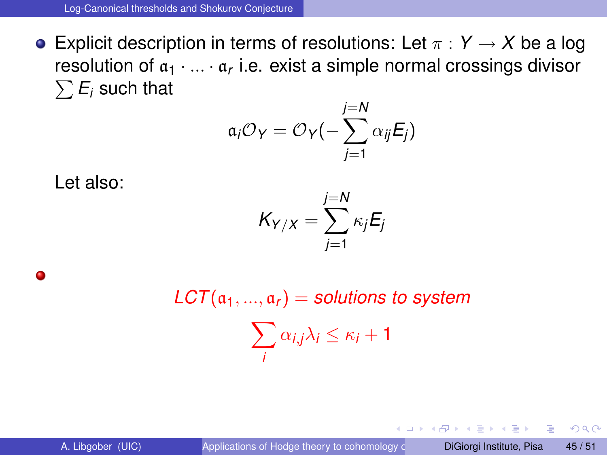**Explicit description in terms of resolutions:** Let  $\pi : Y \to X$  be a log resolution of  $\mathfrak{a}_1 \cdot ... \cdot \mathfrak{a}_r$  i.e. exist a simple normal crossings divisor  $\sum \mathit{E}_{i}$  such that

$$
\mathfrak{a}_i \mathcal{O}_Y = \mathcal{O}_Y(-\sum_{j=1}^{j=N} \alpha_{ij} E_j)
$$

Let also:

$$
K_{Y/X} = \sum_{j=1}^{j=N} \kappa_j E_j
$$

Δ

 $LCT(a_1, ..., a_r) =$  *solutions to system*  $\sum$ *i*  $\alpha_{i,j}\lambda_i \leq \kappa_i+1$ 

в

 $\Omega$ 

イロト イ押ト イヨト イヨトー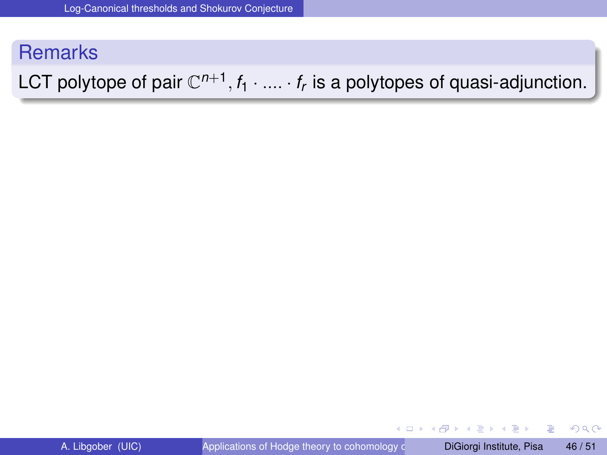### **Remarks**

# LCT polytope of pair  $\mathbb{C}^{n+1},$   $f_1 \cdot ... \cdot f_r$  is a polytopes of quasi-adjunction.

в

 $QQ$ 

4 0 8 4 5 8 4 5 8 4 5 8 1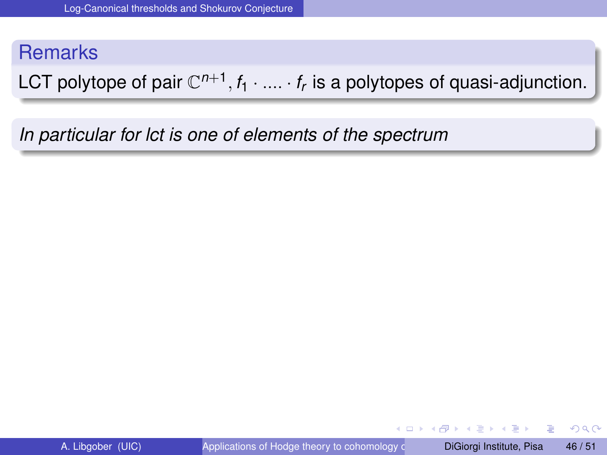### **Remarks**

LCT polytope of pair  $\mathbb{C}^{n+1},$   $f_1 \cdot ... \cdot f_r$  is a polytopes of quasi-adjunction.

*In particular for lct is one of elements of the spectrum*

в

 $\Omega$ 

4 0 8 4 5 8 4 5 8 4 5 8 1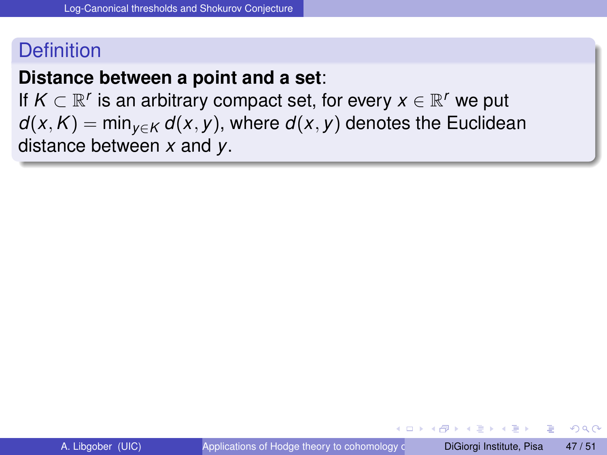#### **Distance between a point and a set**:

If  $K \subset \mathbb{R}^r$  is an arbitrary compact set, for every  $x \in \mathbb{R}^r$  we put *d*(*x*, *K*) = min<sub>*v*∈*K*</sub> *d*(*x*, *y*), where *d*(*x*, *y*) denotes the Euclidean distance between *x* and *y*.

 $\Omega$ 

医单侧 医单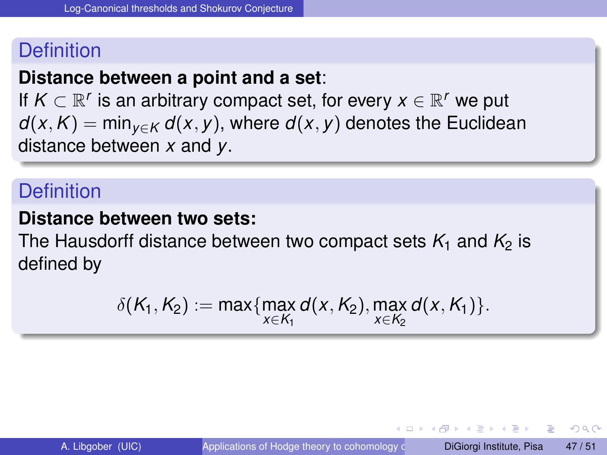### **Distance between a point and a set**:

If  $K \subset \mathbb{R}^r$  is an arbitrary compact set, for every  $x \in \mathbb{R}^r$  we put *d*(*x*, *K*) = min<sub>*v*∈*K*</sub> *d*(*x*, *y*), where *d*(*x*, *y*) denotes the Euclidean distance between *x* and *y*.

### **Definition**

#### **Distance between two sets:**

The Hausdorff distance between two compact sets  $K_1$  and  $K_2$  is defined by

$$
\delta(K_1, K_2) := \max \{ \max_{x \in K_1} d(x, K_2), \max_{x \in K_2} d(x, K_1) \}.
$$

<span id="page-84-0"></span> $\Omega$ 

 $\mathcal{A}$   $\overline{\mathcal{B}}$   $\rightarrow$   $\mathcal{A}$   $\overline{\mathcal{B}}$   $\rightarrow$   $\mathcal{A}$   $\overline{\mathcal{B}}$   $\rightarrow$ 

4 m k 1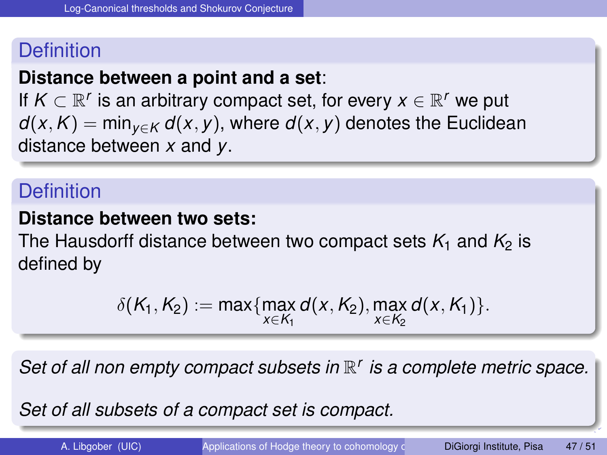### **Distance between a point and a set**:

If  $K \subset \mathbb{R}^r$  is an arbitrary compact set, for every  $x \in \mathbb{R}^r$  we put *d*(*x*, *K*) = min<sub>*v∈K</sub> d*(*x*, *y*), where *d*(*x*, *y*) denotes the Euclidean</sub> distance between *x* and *y*.

### **Definition**

#### **Distance between two sets:**

The Hausdorff distance between two compact sets  $K_1$  and  $K_2$  is defined by

$$
\delta(K_1, K_2) := \max \{ \max_{x \in K_1} d(x, K_2), \max_{x \in K_2} d(x, K_1) \}.
$$

Set of all non empty compact subsets in  $\mathbb{R}^r$  is a complete metric space.

*Set of all subsets of a compact set is compact[.](#page-84-0)*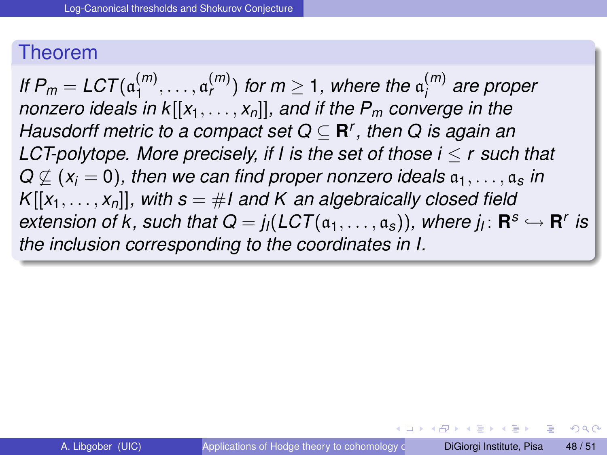#### Theorem

*If*  $P_m = LCT(a_1^{(m)})$  $\mathfrak{a}_{1}^{(m)},\ldots,\mathfrak{a}_{r}^{(m)}$  for  $m\geq 1$  , where the  $\mathfrak{a}_{i}^{(m)}$ *i are proper nonzero ideals in k*[[*x*1, . . . , *xn*]]*, and if the P<sup>m</sup> converge in the Hausdorff metric to a compact set Q* ⊆ **R** *r , then Q is again an LCT-polytope. More precisely, if I is the set of those i* ≤ *r such that*  $Q \nsubseteq (x_i = 0)$ , then we can find proper nonzero ideals  $a_1, \ldots, a_s$  in  $K[[x_1, \ldots, x_n]]$ , with  $s = \#I$  and K an algebraically closed field  $ext{e}$  *extension of k, such that*  $Q = j_l(LCT(\mathfrak{a}_1, \ldots, \mathfrak{a}_s))$ *, where*  $j_l: \mathbf{R}^s \hookrightarrow \mathbf{R}^r$  *is the inclusion corresponding to the coordinates in I.*

イロメ イ押 トイヨ トイヨ トーヨ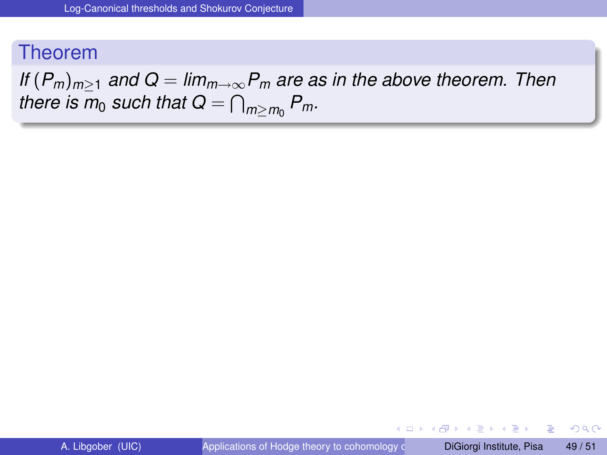### Theorem

*If*  $(P_m)_{m>1}$  and  $Q = \lim_{m \to \infty} P_m$  are as in the above theorem. Then there is  $m_0$  such that  $\bm{Q} = \bigcap_{m \geq m_0} P_m$ .

в

 $\Omega$ 

 $(0,1)$   $(0,1)$   $(0,1)$   $(1,1)$   $(1,1)$   $(1,1)$   $(1,1)$   $(1,1)$   $(1,1)$   $(1,1)$   $(1,1)$   $(1,1)$   $(1,1)$   $(1,1)$   $(1,1)$   $(1,1)$   $(1,1)$   $(1,1)$   $(1,1)$   $(1,1)$   $(1,1)$   $(1,1)$   $(1,1)$   $(1,1)$   $(1,1)$   $(1,1)$   $(1,1)$   $(1,1$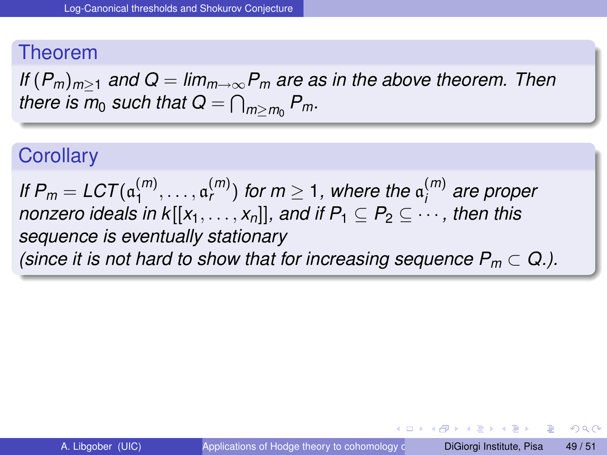#### Theorem

*If*  $(P_m)_{m>1}$  and  $Q = \lim_{m \to \infty} P_m$  are as in the above theorem. Then there is  $m_0$  such that  $\bm{Q} = \bigcap_{m \geq m_0} P_m$ .

### **Corollary**

*If*  $P_m = LCT(a_1^{(m)})$  $\mathfrak{a}_{1}^{(m)},\ldots,\mathfrak{a}_{r}^{(m)})$  for  $m\geq 1$ , where the  $\mathfrak{a}_{i}^{(m)}$ *i are proper nonzero ideals in k*[ $[x_1, \ldots, x_n]$ ]*, and if*  $P_1 \subseteq P_2 \subseteq \cdots$ *, then this sequence is eventually stationary (since it is not hard to show that for increasing sequence*  $P_m \subset Q$ *.).* 

 $\Omega$ 

イロト イ押ト イヨト イヨト ニヨ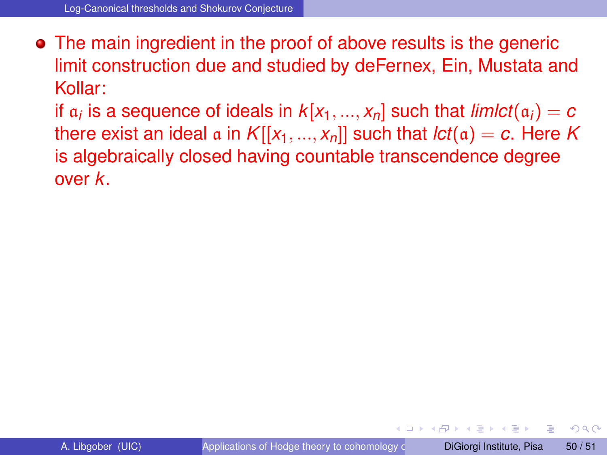The main ingredient in the proof of above results is the generic limit construction due and studied by deFernex, Ein, Mustata and Kollar:

if  $a_i$  is a sequence of ideals in  $k[x_1,...,x_n]$  such that  $\mathit{limlct}(a_i) = c$ there exist an ideal a in  $K[[x_1, ..., x_n]]$  such that  $\text{lct}(\mathfrak{a}) = c$ . Here K is algebraically closed having countable transcendence degree over *k*.

 $\Omega$ 

**All The South The**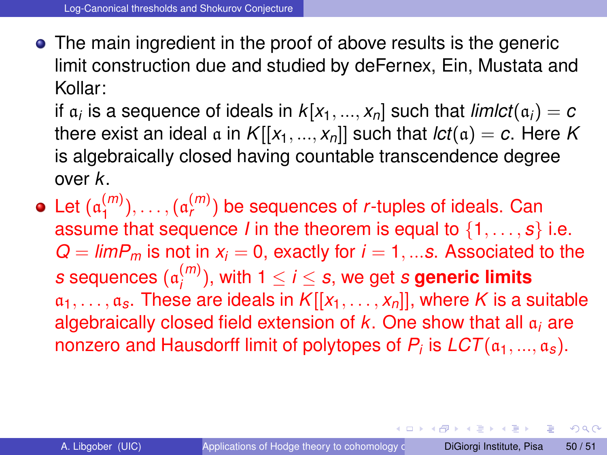The main ingredient in the proof of above results is the generic limit construction due and studied by deFernex, Ein, Mustata and Kollar:

if  $a_i$  is a sequence of ideals in  $k[x_1,...,x_n]$  such that  $\mathit{limlct}(a_i) = c$ there exist an ideal  $\alpha$  in  $K[[x_1, ..., x_n]]$  such that  $lct(\alpha) = c$ . Here K is algebraically closed having countable transcendence degree over *k*.

Let (a (*m*)  $\binom{m}{1}, \ldots, \binom{a_r^{(m)}}{r}$  be sequences of *r*-tuples of ideals. Can assume that sequence *I* in the theorem is equal to  $\{1, \ldots, s\}$  i.e.  $Q = \lim P_m$  is not in  $x_i = 0$ , exactly for  $i = 1, \dots s$ . Associated to the *s* sequences (a (*m*)  $j_i^{(m)}$ ), with 1  $\leq$  *i*  $\leq$  *s*, we get *s* generic limits  $a_1, \ldots, a_s$ . These are ideals in  $K[[x_1, \ldots, x_n]]$ , where K is a suitable algebraically closed field extension of *k*. One show that all a*<sup>i</sup>* are nonzero and Hausdorff limit of polytopes of *P<sup>i</sup>* is *LCT*(a1, ..., a*s*).

4 0 8 4 5 8 4 5 8 4 5 8 1

в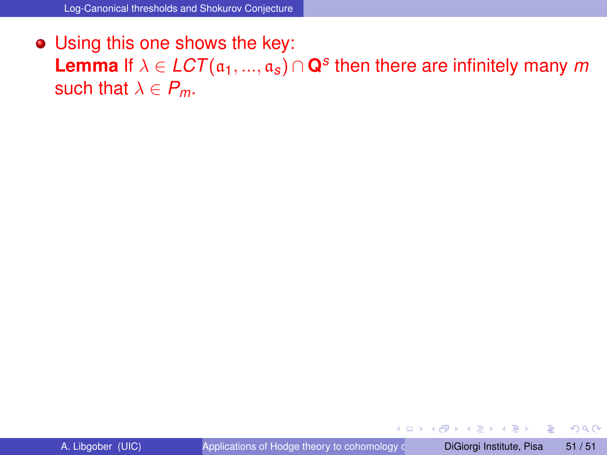Using this one shows the key: Lemma If  $\lambda \in LCT(\mathfrak{a}_1, ..., \mathfrak{a}_s) \cap \mathbf{Q}^s$  then there are infinitely many  $m$ such that  $\lambda \in P_m$ .

4 17 18

 $QQ$ 

 $\mathbf{A} \oplus \mathbf{B}$   $\mathbf{A} \oplus \mathbf{B}$   $\mathbf{A} \oplus \mathbf{B}$